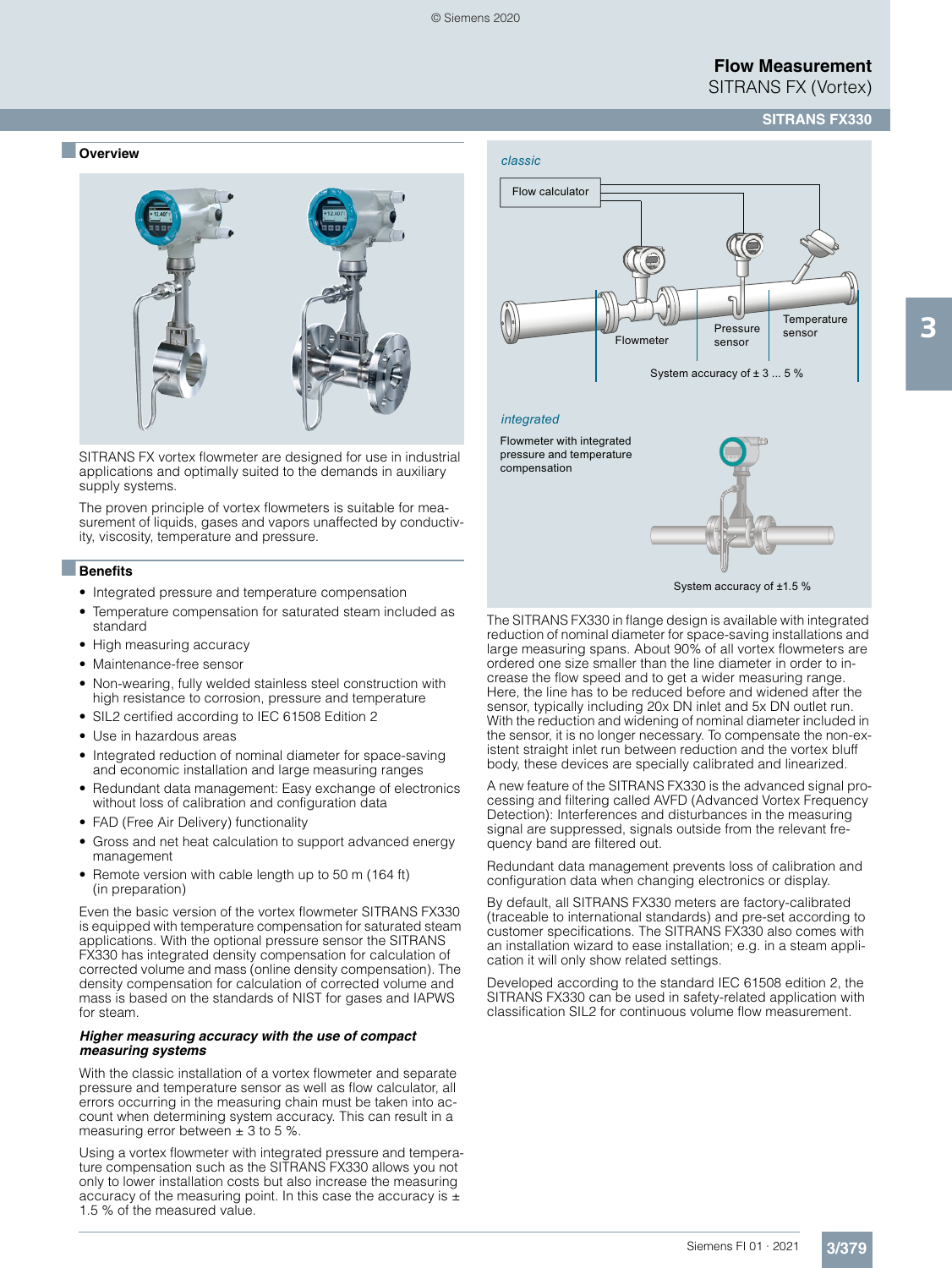#### ■ **Overview**



SITRANS FX vortex flowmeter are designed for use in industrial applications and optimally suited to the demands in auxiliary supply systems.

The proven principle of vortex flowmeters is suitable for measurement of liquids, gases and vapors unaffected by conductivity, viscosity, temperature and pressure.

#### ■**Benefits**

- Integrated pressure and temperature compensation
- Temperature compensation for saturated steam included as standard
- High measuring accuracy
- Maintenance-free sensor
- Non-wearing, fully welded stainless steel construction with high resistance to corrosion, pressure and temperature
- SIL2 certified according to IEC 61508 Edition 2
- Use in hazardous areas
- Integrated reduction of nominal diameter for space-saving and economic installation and large measuring ranges
- Redundant data management: Easy exchange of electronics without loss of calibration and configuration data
- FAD (Free Air Delivery) functionality
- Gross and net heat calculation to support advanced energy management
- Remote version with cable length up to 50 m (164 ft) (in preparation)

Even the basic version of the vortex flowmeter SITRANS FX330 is equipped with temperature compensation for saturated steam applications. With the optional pressure sensor the SITRANS FX330 has integrated density compensation for calculation of corrected volume and mass (online density compensation). The density compensation for calculation of corrected volume and mass is based on the standards of NIST for gases and IAPWS for steam.

#### *Higher measuring accuracy with the use of compact measuring systems*

With the classic installation of a vortex flowmeter and separate pressure and temperature sensor as well as flow calculator, all errors occurring in the measuring chain must be taken into account when determining system accuracy. This can result in a measuring error between  $\pm$  3 to 5 %.

Using a vortex flowmeter with integrated pressure and temperature compensation such as the SITRANS FX330 allows you not only to lower installation costs but also increase the measuring accuracy of the measuring point. In this case the accuracy is  $\pm$ 1.5 % of the measured value.



#### *integrated*

Flowmeter with integrated pressure and temperature compensation



System accuracy of ±1.5 %

The SITRANS FX330 in flange design is available with integrated reduction of nominal diameter for space-saving installations and large measuring spans. About 90% of all vortex flowmeters are ordered one size smaller than the line diameter in order to increase the flow speed and to get a wider measuring range. Here, the line has to be reduced before and widened after the sensor, typically including 20x DN inlet and 5x DN outlet run. With the reduction and widening of nominal diameter included in the sensor, it is no longer necessary. To compensate the non-existent straight inlet run between reduction and the vortex bluff body, these devices are specially calibrated and linearized.

A new feature of the SITRANS FX330 is the advanced signal processing and filtering called AVFD (Advanced Vortex Frequency Detection): Interferences and disturbances in the measuring signal are suppressed, signals outside from the relevant frequency band are filtered out.

Redundant data management prevents loss of calibration and configuration data when changing electronics or display.

By default, all SITRANS FX330 meters are factory-calibrated (traceable to international standards) and pre-set according to customer specifications. The SITRANS FX330 also comes with an installation wizard to ease installation; e.g. in a steam application it will only show related settings.

Developed according to the standard IEC 61508 edition 2, the SITRANS FX330 can be used in safety-related application with classification SIL2 for continuous volume flow measurement.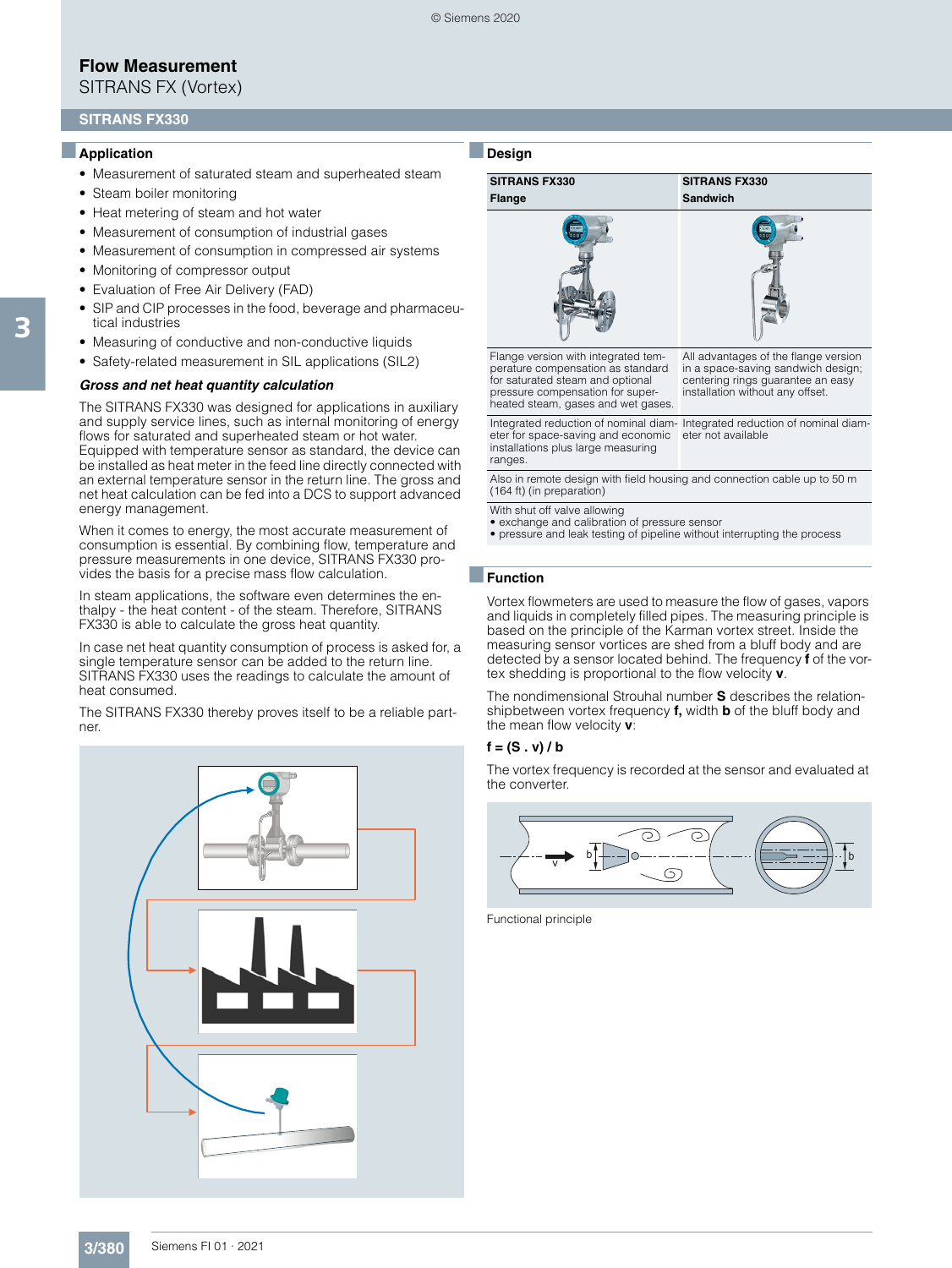SITRANS FX (Vortex)

#### **SITRANS FX330**

#### ■**Application**

- Measurement of saturated steam and superheated steam
- Steam boiler monitoring
- Heat metering of steam and hot water
- Measurement of consumption of industrial gases
- Measurement of consumption in compressed air systems
- Monitoring of compressor output
- Evaluation of Free Air Delivery (FAD)
- SIP and CIP processes in the food, beverage and pharmaceutical industries
- Measuring of conductive and non-conductive liquids
- Safety-related measurement in SIL applications (SIL2)

#### *Gross and net heat quantity calculation*

The SITRANS FX330 was designed for applications in auxiliary and supply service lines, such as internal monitoring of energy flows for saturated and superheated steam or hot water. Equipped with temperature sensor as standard, the device can be installed as heat meter in the feed line directly connected with an external temperature sensor in the return line. The gross and net heat calculation can be fed into a DCS to support advanced energy management.

When it comes to energy, the most accurate measurement of consumption is essential. By combining flow, temperature and pressure measurements in one device, SITRANS FX330 provides the basis for a precise mass flow calculation.

In steam applications, the software even determines the enthalpy - the heat content - of the steam. Therefore, SITRANS FX330 is able to calculate the gross heat quantity.

In case net heat quantity consumption of process is asked for, a single temperature sensor can be added to the return line. SITRANS FX330 uses the readings to calculate the amount of heat consumed.

The SITRANS FX330 thereby proves itself to be a reliable partner.





#### ■**Function**

Vortex flowmeters are used to measure the flow of gases, vapors and liquids in completely filled pipes. The measuring principle is based on the principle of the Karman vortex street. Inside the measuring sensor vortices are shed from a bluff body and are detected by a sensor located behind. The frequency **f** of the vortex shedding is proportional to the flow velocity **v**.

The nondimensional Strouhal number **S** describes the relationshipbetween vortex frequency **f,** width **b** of the bluff body and the mean flow velocity **v**:

#### **f = (S . v) / b**

The vortex frequency is recorded at the sensor and evaluated at the converter.



Functional principle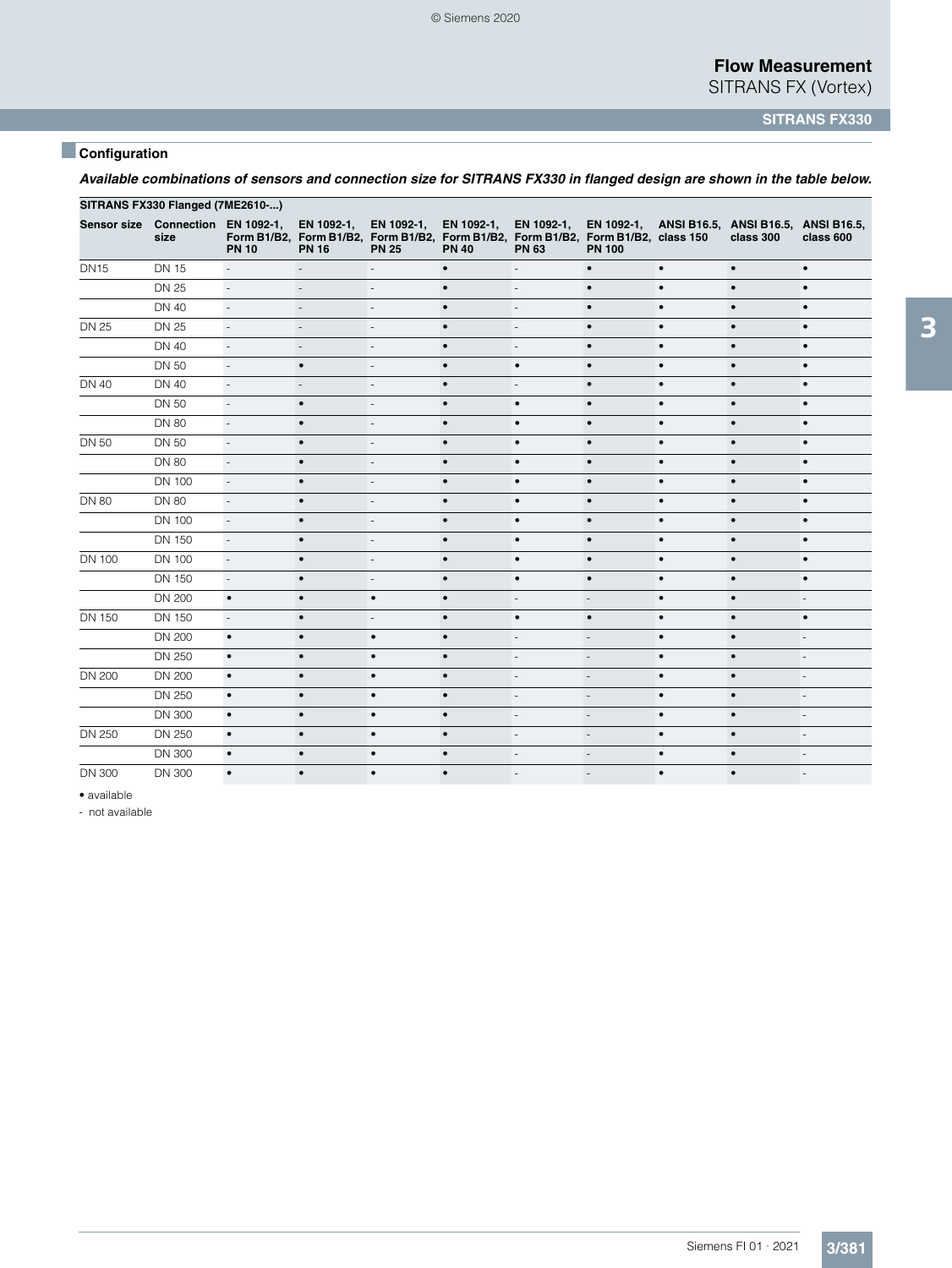SITRANS FX (Vortex)

**SITRANS FX330**

## ■**Configuration**

|                    | SITRANS FX330 Flanged (7ME2610-) |                             |                              |                            |                            |                            |                                                                                                    |           |                                                             |                          |
|--------------------|----------------------------------|-----------------------------|------------------------------|----------------------------|----------------------------|----------------------------|----------------------------------------------------------------------------------------------------|-----------|-------------------------------------------------------------|--------------------------|
| <b>Sensor size</b> | Connection EN 1092-1,<br>size    | <b>PN 10</b>                | EN 1092-1,<br><b>PN 16</b>   | EN 1092-1,<br><b>PN 25</b> | EN 1092-1,<br><b>PN 40</b> | EN 1092-1,<br><b>PN 63</b> | Form B1/B2, Form B1/B2, Form B1/B2, Form B1/B2, Form B1/B2, Form B1/B2, class 150<br><b>PN 100</b> |           | EN 1092-1, ANSI B16.5, ANSI B16.5, ANSI B16.5,<br>class 300 | class 600                |
| <b>DN15</b>        | <b>DN 15</b>                     | $\overline{\phantom{a}}$    | $\frac{1}{2}$                | $\overline{a}$             | $\bullet$                  | $\overline{a}$             | $\bullet$                                                                                          | $\bullet$ | $\bullet$                                                   | $\bullet$                |
|                    | <b>DN 25</b>                     | $\overline{\phantom{a}}$    | $\overline{\phantom{a}}$     | $\overline{\phantom{a}}$   | $\bullet$                  | $\overline{\phantom{a}}$   | $\bullet$                                                                                          | $\bullet$ | $\bullet$                                                   | $\bullet$                |
|                    | <b>DN 40</b>                     | $\mathbb{L}$                | L,                           |                            | $\bullet$                  | $\overline{a}$             | $\bullet$                                                                                          | $\bullet$ | $\bullet$                                                   | $\bullet$                |
| <b>DN 25</b>       | <b>DN 25</b>                     | $\overline{\phantom{a}}$    | $\qquad \qquad \blacksquare$ | $\overline{\phantom{a}}$   | $\bullet$                  | $\overline{\phantom{a}}$   | $\bullet$                                                                                          | $\bullet$ | $\bullet$                                                   | $\bullet$                |
|                    | <b>DN 40</b>                     | $\mathcal{L}_{\mathcal{A}}$ | L,                           | $\overline{a}$             | $\bullet$                  | $\overline{a}$             | $\bullet$                                                                                          | $\bullet$ | $\bullet$                                                   | $\bullet$                |
|                    | <b>DN 50</b>                     | $\overline{\phantom{a}}$    | $\bullet$                    | $\overline{\phantom{a}}$   | $\bullet$                  | $\bullet$                  | $\bullet$                                                                                          | $\bullet$ | $\bullet$                                                   | $\bullet$                |
| <b>DN 40</b>       | <b>DN 40</b>                     | $\mathcal{L}_{\mathcal{A}}$ | Ĭ.                           | $\overline{\phantom{a}}$   | $\bullet$                  | $\overline{\phantom{a}}$   | $\bullet$                                                                                          | $\bullet$ | $\bullet$                                                   | $\bullet$                |
|                    | <b>DN 50</b>                     | $\overline{\phantom{a}}$    | $\bullet$                    | $\overline{\phantom{a}}$   | $\bullet$                  | $\bullet$                  | $\bullet$                                                                                          | $\bullet$ | $\bullet$                                                   | $\bullet$                |
|                    | <b>DN 80</b>                     | $\overline{\phantom{a}}$    | $\bullet$                    | $\overline{a}$             | $\bullet$                  | $\bullet$                  | $\bullet$                                                                                          | $\bullet$ | $\bullet$                                                   | $\bullet$                |
| <b>DN 50</b>       | <b>DN 50</b>                     | $\overline{\phantom{a}}$    | $\bullet$                    | $\overline{\phantom{a}}$   | $\bullet$                  | $\bullet$                  | $\bullet$                                                                                          | $\bullet$ | $\bullet$                                                   | $\bullet$                |
|                    | <b>DN 80</b>                     | $\overline{\phantom{a}}$    | $\bullet$                    | $\overline{a}$             | $\bullet$                  | $\bullet$                  | $\bullet$                                                                                          | $\bullet$ | $\bullet$                                                   | $\bullet$                |
|                    | <b>DN 100</b>                    | $\mathbb{L}$                | $\bullet$                    | $\overline{a}$             | $\bullet$                  | $\bullet$                  | $\bullet$                                                                                          | $\bullet$ | $\bullet$                                                   | $\bullet$                |
| <b>DN 80</b>       | <b>DN 80</b>                     | ÷,                          | $\bullet$                    | $\overline{\phantom{a}}$   | $\bullet$                  | $\bullet$                  | $\bullet$                                                                                          | $\bullet$ | $\bullet$                                                   | $\bullet$                |
|                    | <b>DN 100</b>                    | $\overline{\phantom{a}}$    | $\bullet$                    | $\overline{\phantom{a}}$   | $\bullet$                  | $\bullet$                  | $\bullet$                                                                                          | $\bullet$ | $\bullet$                                                   | $\bullet$                |
|                    | <b>DN 150</b>                    | $\Box$                      | $\bullet$                    | $\overline{\phantom{a}}$   | $\bullet$                  | $\bullet$                  | $\bullet$                                                                                          | $\bullet$ | $\bullet$                                                   | $\bullet$                |
| <b>DN 100</b>      | <b>DN 100</b>                    | $\mathbb{L}$                | $\bullet$                    | $\overline{\phantom{a}}$   | $\bullet$                  | $\bullet$                  | $\bullet$                                                                                          | $\bullet$ | $\bullet$                                                   | $\bullet$                |
|                    | <b>DN 150</b>                    | $\mathbb{Z}^2$              | $\bullet$                    | $\overline{\phantom{a}}$   | $\bullet$                  | $\bullet$                  | $\bullet$                                                                                          | $\bullet$ | $\bullet$                                                   | $\bullet$                |
|                    | <b>DN 200</b>                    | $\bullet$                   | $\bullet$                    | $\bullet$                  | $\bullet$                  | $\overline{\phantom{a}}$   | $\overline{a}$                                                                                     | $\bullet$ | $\bullet$                                                   | $\overline{a}$           |
| DN 150             | <b>DN 150</b>                    | $\overline{\phantom{a}}$    | $\bullet$                    | $\overline{\phantom{m}}$   | $\bullet$                  | $\bullet$                  | $\bullet$                                                                                          | $\bullet$ | $\bullet$                                                   | $\bullet$                |
|                    | <b>DN 200</b>                    | $\bullet$                   | $\bullet$                    | $\bullet$                  | $\bullet$                  | $\overline{a}$             | $\overline{a}$                                                                                     | $\bullet$ | $\bullet$                                                   | $\overline{a}$           |
|                    | <b>DN 250</b>                    | $\bullet$                   | $\bullet$                    | $\bullet$                  | $\bullet$                  | $\overline{\phantom{a}}$   | $\overline{\phantom{a}}$                                                                           | $\bullet$ | $\bullet$                                                   | $\overline{\phantom{a}}$ |
| <b>DN 200</b>      | <b>DN 200</b>                    | $\bullet$                   | $\bullet$                    | $\bullet$                  | $\bullet$                  | $\overline{a}$             | ÷,                                                                                                 | $\bullet$ | $\bullet$                                                   | $\overline{a}$           |
|                    | <b>DN 250</b>                    | $\bullet$                   | $\bullet$                    | $\bullet$                  | $\bullet$                  | $\overline{\phantom{a}}$   | $\overline{\phantom{a}}$                                                                           | $\bullet$ | $\bullet$                                                   | ٠                        |
|                    | <b>DN 300</b>                    | $\bullet$                   | $\bullet$                    | $\bullet$                  | $\bullet$                  | $\overline{a}$             | $\overline{\phantom{a}}$                                                                           | $\bullet$ |                                                             | $\overline{\phantom{a}}$ |
| <b>DN 250</b>      | <b>DN 250</b>                    | $\bullet$                   | $\bullet$                    | $\bullet$                  | $\bullet$                  | $\overline{\phantom{a}}$   | $\overline{\phantom{a}}$                                                                           | $\bullet$ | $\bullet$                                                   | $\overline{\phantom{a}}$ |
|                    | <b>DN 300</b>                    | $\bullet$                   | $\bullet$                    | $\bullet$                  | $\bullet$                  | $\overline{\phantom{a}}$   | $\overline{\phantom{a}}$                                                                           | $\bullet$ | $\bullet$                                                   |                          |
|                    |                                  |                             |                              |                            |                            |                            |                                                                                                    |           |                                                             |                          |

DN 300 DN 300 • • • • - - • • -

*Available combinations of sensors and connection size for SITRANS FX330 in flanged design are shown in the table below.*

• available

- not available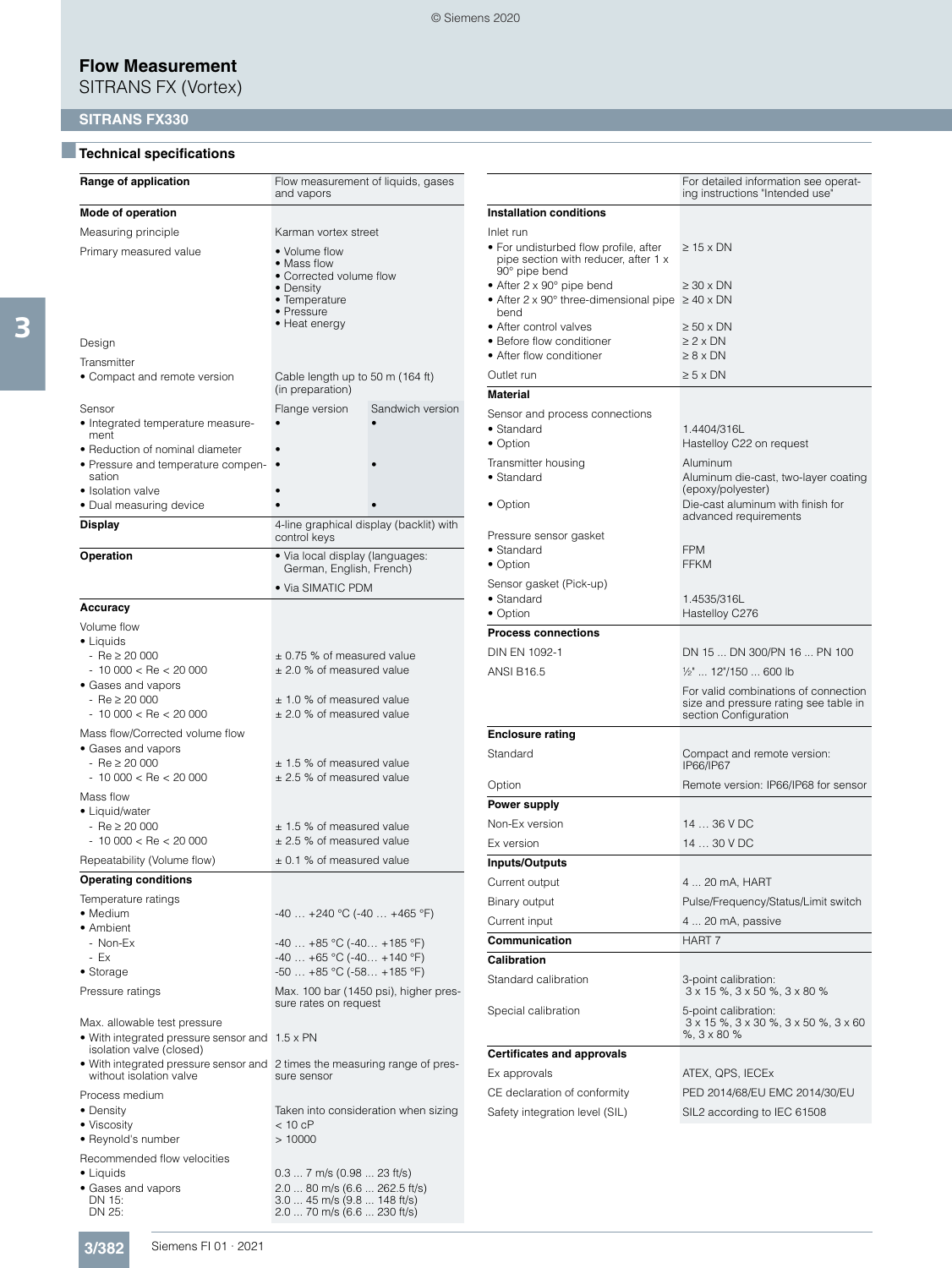SITRANS FX (Vortex)

## **SITRANS FX330**

## ■**Technical specifications**

| Range of application                                                                                                                               | Flow measurement of liquids, gases<br>and vapors                                                                          |                                         |  |  |  |
|----------------------------------------------------------------------------------------------------------------------------------------------------|---------------------------------------------------------------------------------------------------------------------------|-----------------------------------------|--|--|--|
| Mode of operation                                                                                                                                  |                                                                                                                           |                                         |  |  |  |
| Measuring principle                                                                                                                                | Karman vortex street                                                                                                      |                                         |  |  |  |
| Primary measured value                                                                                                                             | • Volume flow<br>• Mass flow<br>• Corrected volume flow<br>• Density<br>• Temperature<br>• Pressure<br>• Heat energy      |                                         |  |  |  |
| Design                                                                                                                                             |                                                                                                                           |                                         |  |  |  |
| Transmitter<br>• Compact and remote version                                                                                                        | Cable length up to 50 m (164 ft)<br>(in preparation)                                                                      |                                         |  |  |  |
| Sensor<br>• Integrated temperature measure-<br>ment                                                                                                | Flange version                                                                                                            | Sandwich version                        |  |  |  |
| • Reduction of nominal diameter<br>• Pressure and temperature compen-<br>sation                                                                    |                                                                                                                           |                                         |  |  |  |
| • Isolation valve<br>· Dual measuring device                                                                                                       |                                                                                                                           |                                         |  |  |  |
| <b>Display</b>                                                                                                                                     | control keys                                                                                                              | 4-line graphical display (backlit) with |  |  |  |
| Operation                                                                                                                                          | · Via local display (languages:<br>German, English, French)                                                               |                                         |  |  |  |
|                                                                                                                                                    | • Via SIMATIC PDM                                                                                                         |                                         |  |  |  |
| <b>Accuracy</b>                                                                                                                                    |                                                                                                                           |                                         |  |  |  |
| Volume flow<br>• Liquids<br>$-$ Re $\geq 20000$<br>$-10000 <$ Re $<$ 20000<br>• Gases and vapors<br>$-$ Re $\geq 20000$<br>$-10000 <$ Re $<$ 20000 | ± 0.75 % of measured value<br>$\pm$ 2.0 % of measured value<br>$\pm$ 1.0 % of measured value<br>± 2.0 % of measured value |                                         |  |  |  |
| Mass flow/Corrected volume flow<br>• Gases and vapors<br>$-$ Re $\geq 20000$<br>$-10000 <$ Re $<$ 20000                                            | $\pm$ 1.5 % of measured value<br>± 2.5 % of measured value                                                                |                                         |  |  |  |
| Mass flow<br>• Liquid/water<br>$-$ Re $\geq 20000$<br>$-10000 < Re < 20000$<br>Repeatability (Volume flow)                                         | $±$ 1.5 % of measured value<br>$\pm$ 2.5 % of measured value<br>$\pm$ 0.1 % of measured value                             |                                         |  |  |  |
| <b>Operating conditions</b>                                                                                                                        |                                                                                                                           |                                         |  |  |  |
| Temperature ratings<br>• Medium<br>• Ambient<br>- Non-Ex                                                                                           | $-40$ $+240$ °C ( $-40$ $+465$ °F)<br>$-40+85$ °C ( $-40+185$ °F)                                                         |                                         |  |  |  |
| - Ex<br>• Storage                                                                                                                                  | $-40 +65$ °C ( $-40 +140$ °F)<br>$-50+85$ °C ( $-58+185$ °F)                                                              |                                         |  |  |  |
| Pressure ratings                                                                                                                                   | sure rates on request                                                                                                     | Max. 100 bar (1450 psi), higher pres-   |  |  |  |
| Max. allowable test pressure<br>• With integrated pressure sensor and 1.5 x PN<br>isolation valve (closed)                                         |                                                                                                                           |                                         |  |  |  |
| • With integrated pressure sensor and<br>without isolation valve                                                                                   | sure sensor                                                                                                               | 2 times the measuring range of pres-    |  |  |  |
| Process medium<br>• Density<br>• Viscosity<br>• Reynold's number                                                                                   | $< 10$ cP<br>>10000                                                                                                       | Taken into consideration when sizing    |  |  |  |
| Recommended flow velocities<br>$\bullet$ Liquids<br>• Gases and vapors<br>DN 15:<br>DN 25:                                                         | 0.3  7 m/s (0.98  23 ft/s)<br>2.0  80 m/s (6.6  262.5 ft/s)<br>3.0  45 m/s (9.8  148 ft/s)<br>2.0  70 m/s (6.6  230 ft/s) |                                         |  |  |  |

|                                                                                                                                        | For detailed information see operat-<br>ing instructions "Intended use"                                 |
|----------------------------------------------------------------------------------------------------------------------------------------|---------------------------------------------------------------------------------------------------------|
| <b>Installation conditions</b>                                                                                                         |                                                                                                         |
| Inlet run<br>• For undisturbed flow profile, after<br>pipe section with reducer, after 1 x                                             | $\geq$ 15 x DN                                                                                          |
| 90° pipe bend<br>• After 2 x 90 $^{\circ}$ pipe bend<br>• After $2 \times 90^\circ$ three-dimensional pipe $\geq 40 \times DN$<br>bend | ≥ 30 x DN                                                                                               |
| • After control valves<br>• Before flow conditioner<br>• After flow conditioner                                                        | ≥ 50 x DN<br>≥2 x DN<br>$\geq 8 \times DN$                                                              |
| Outlet run                                                                                                                             | ≥5 x DN                                                                                                 |
| Material                                                                                                                               |                                                                                                         |
| Sensor and process connections<br>$\bullet$ Standard<br>• Option                                                                       | 1.4404/316L<br>Hastelloy C22 on request                                                                 |
| Transmitter housing<br>• Standard                                                                                                      | Aluminum<br>Aluminum die-cast, two-layer coating<br>(epoxy/polyester)                                   |
| • Option                                                                                                                               | Die-cast aluminum with finish for<br>advanced requirements                                              |
| Pressure sensor gasket<br>• Standard<br>• Option                                                                                       | <b>FPM</b><br><b>FFKM</b>                                                                               |
| Sensor gasket (Pick-up)<br>• Standard<br>• Option                                                                                      | 1.4535/316L<br>Hastelloy C276                                                                           |
| <b>Process connections</b>                                                                                                             |                                                                                                         |
| DIN EN 1092-1                                                                                                                          | DN 15  DN 300/PN 16  PN 100                                                                             |
| <b>ANSI B16.5</b>                                                                                                                      | 1/ <sub>2</sub> "  12"/150  600 lb                                                                      |
|                                                                                                                                        | For valid combinations of connection<br>size and pressure rating see table in<br>section Configuration  |
| <b>Enclosure rating</b>                                                                                                                |                                                                                                         |
| Standard                                                                                                                               | Compact and remote version:<br>IP66/IP67                                                                |
| Option                                                                                                                                 | Remote version: IP66/IP68 for sensor                                                                    |
| Power supply                                                                                                                           |                                                                                                         |
| Non-Ex version                                                                                                                         | 14  36 V DC                                                                                             |
| Ex version                                                                                                                             | 14  30 V DC                                                                                             |
| <b>Inputs/Outputs</b>                                                                                                                  |                                                                                                         |
| Current output                                                                                                                         | 4  20 mA, HART                                                                                          |
| Binary output                                                                                                                          | Pulse/Frequency/Status/Limit switch                                                                     |
| Current input                                                                                                                          | 4  20 mA, passive                                                                                       |
| Communication                                                                                                                          | <b>HART 7</b>                                                                                           |
| Calibration                                                                                                                            |                                                                                                         |
| Standard calibration                                                                                                                   | 3-point calibration:<br>$3 \times 15$ %, $3 \times 50$ %, $3 \times 80$ %                               |
| Special calibration                                                                                                                    | 5-point calibration:<br>$3 \times 15$ %, $3 \times 30$ %, $3 \times 50$ %, $3 \times 60$<br>%, 3 x 80 % |
| <b>Certificates and approvals</b>                                                                                                      |                                                                                                         |
| Ex approvals                                                                                                                           | ATEX, QPS, IECEx                                                                                        |
| CE declaration of conformity                                                                                                           | PED 2014/68/EU EMC 2014/30/EU                                                                           |
| Safety integration level (SIL)                                                                                                         | SIL2 according to IEC 61508                                                                             |

**3/382** Siemens FI 01 · 2021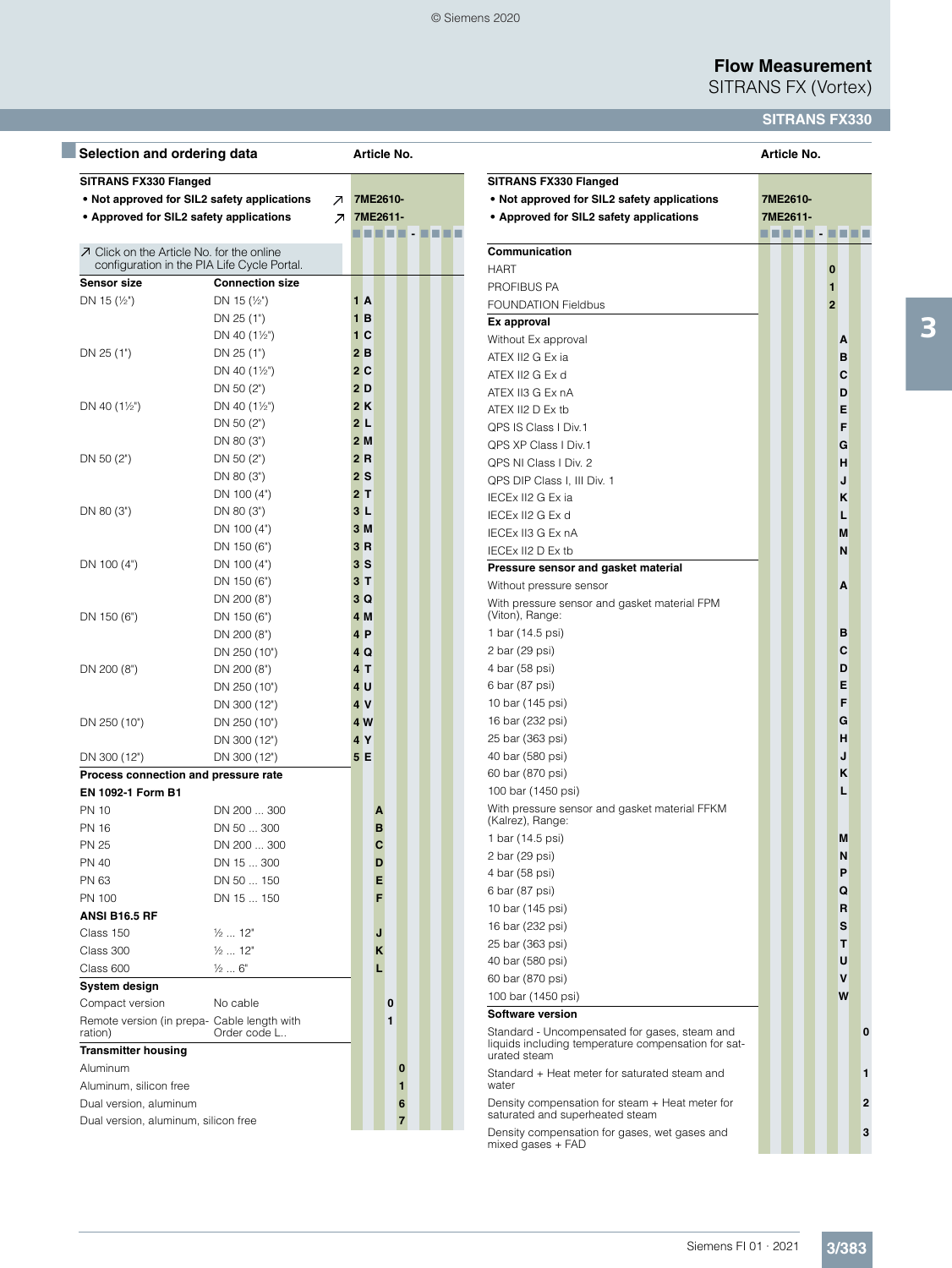SITRANS FX (Vortex)

## **SITRANS FX330**

| Selection and ordering data               |                                                             |                          |                |   |   | Article No. |        |  |
|-------------------------------------------|-------------------------------------------------------------|--------------------------|----------------|---|---|-------------|--------|--|
| SITRANS FX330 Flanged                     | • Not approved for SIL2 safety applications                 |                          | 7ME2610-       |   |   |             |        |  |
|                                           |                                                             | $\mathcal{A}$            |                |   |   |             |        |  |
| • Approved for SIL2 safety applications   |                                                             | $\overline{\phantom{a}}$ | 7ME2611-       |   |   |             |        |  |
|                                           |                                                             |                          | .              |   |   |             | 88 O B |  |
| 7 Click on the Article No. for the online | configuration in the PIA Life Cycle Portal.                 |                          |                |   |   |             |        |  |
| <b>Sensor size</b>                        | <b>Connection size</b>                                      |                          |                |   |   |             |        |  |
| DN 15 $(\frac{1}{2})$                     | DN 15 $(\frac{1}{2})$                                       |                          | 1 A            |   |   |             |        |  |
|                                           | DN 25 (1")                                                  |                          | 1B             |   |   |             |        |  |
|                                           | DN 40 $(1\frac{1}{2})$                                      |                          | 1 <sup>C</sup> |   |   |             |        |  |
| DN 25 (1")                                | DN 25 (1")                                                  |                          | 2B             |   |   |             |        |  |
|                                           | DN 40 $(1\frac{1}{2})$                                      |                          | 2C             |   |   |             |        |  |
|                                           | DN 50 (2")                                                  |                          | 2D             |   |   |             |        |  |
| DN 40 $(1\frac{1}{2})$                    | DN 40 $(1\frac{1}{2})$                                      |                          | 2K             |   |   |             |        |  |
|                                           | DN 50 $(2")$                                                |                          | 2L             |   |   |             |        |  |
|                                           | DN 80 (3")                                                  |                          | 2M             |   |   |             |        |  |
| DN 50 (2")                                | DN 50 (2")                                                  |                          | 2R             |   |   |             |        |  |
|                                           | DN 80 (3")                                                  |                          | 2S             |   |   |             |        |  |
|                                           | DN 100 (4")                                                 |                          | 2T             |   |   |             |        |  |
| DN 80 (3")                                | DN 80 (3")                                                  |                          | 3L             |   |   |             |        |  |
|                                           | DN 100 (4")                                                 |                          | 3M             |   |   |             |        |  |
|                                           | DN 150 (6")                                                 |                          | 3R             |   |   |             |        |  |
| DN 100 (4")                               | DN 100 (4")                                                 |                          | 3S             |   |   |             |        |  |
|                                           | DN 150 (6")                                                 |                          | 3T             |   |   |             |        |  |
|                                           | DN 200 (8")                                                 |                          | 3Q             |   |   |             |        |  |
| DN 150 (6")                               | DN 150 (6")                                                 |                          | 4 M            |   |   |             |        |  |
|                                           | DN 200 (8")                                                 |                          | 4P             |   |   |             |        |  |
|                                           | DN 250 (10")                                                |                          | 4Q             |   |   |             |        |  |
| DN 200 (8")                               | DN 200 (8")                                                 |                          | 4T             |   |   |             |        |  |
|                                           | DN 250 (10")                                                |                          | 4 U            |   |   |             |        |  |
|                                           | DN 300 (12")                                                |                          | 4V             |   |   |             |        |  |
| DN 250 (10")                              | DN 250 (10")                                                |                          | 4 W            |   |   |             |        |  |
|                                           | DN 300 (12")                                                |                          | 4 Y            |   |   |             |        |  |
| DN 300 (12")                              | DN 300 (12")                                                |                          | 5 E            |   |   |             |        |  |
| Process connection and pressure rate      |                                                             |                          |                |   |   |             |        |  |
| EN 1092-1 Form B1                         |                                                             |                          |                |   |   |             |        |  |
| <b>PN 10</b>                              | DN 200  300                                                 |                          |                | A |   |             |        |  |
| <b>PN 16</b>                              | DN 50  300                                                  |                          |                | в |   |             |        |  |
| <b>PN 25</b>                              | DN 200  300                                                 |                          |                | C |   |             |        |  |
| <b>PN 40</b>                              | DN 15  300                                                  |                          |                | D |   |             |        |  |
| PN 63                                     | DN 50  150                                                  |                          |                | Е |   |             |        |  |
| PN 100                                    | DN 15  150                                                  |                          |                | F |   |             |        |  |
| ANSI B16.5 RF                             |                                                             |                          |                |   |   |             |        |  |
| Class 150                                 | $\frac{1}{2}$ 12"                                           |                          |                | J |   |             |        |  |
| Class 300                                 | $\frac{1}{2}$ 12"                                           |                          |                | κ |   |             |        |  |
| Class 600                                 | $\frac{1}{2}6"$                                             |                          |                | L |   |             |        |  |
| System design                             |                                                             |                          |                |   |   |             |        |  |
| Compact version                           | No cable                                                    |                          |                |   | 0 |             |        |  |
| ration)                                   | Remote version (in prepa- Cable length with<br>Order code L |                          |                |   | 1 |             |        |  |
| <b>Transmitter housing</b>                |                                                             |                          |                |   |   |             |        |  |
| Aluminum                                  |                                                             |                          |                |   |   | 0           |        |  |
| Aluminum, silicon free                    |                                                             |                          |                |   |   | 1           |        |  |
|                                           |                                                             |                          |                |   |   |             |        |  |

|                                                                                                                      |  |  |                      |  | Article No.                  |  |                |  |   |  |  |  |  |  |
|----------------------------------------------------------------------------------------------------------------------|--|--|----------------------|--|------------------------------|--|----------------|--|---|--|--|--|--|--|
| SITRANS FX330 Flanged<br>• Not approved for SIL2 safety applications<br>• Approved for SIL2 safety applications      |  |  | 7ME2610-<br>7ME2611- |  |                              |  |                |  |   |  |  |  |  |  |
|                                                                                                                      |  |  |                      |  | <u> - - - - - - - - - - </u> |  |                |  |   |  |  |  |  |  |
| Communication                                                                                                        |  |  |                      |  |                              |  |                |  |   |  |  |  |  |  |
| <b>HART</b>                                                                                                          |  |  |                      |  |                              |  | 0              |  |   |  |  |  |  |  |
| PROFIBUS PA                                                                                                          |  |  |                      |  |                              |  | 1              |  |   |  |  |  |  |  |
| <b>FOUNDATION Fieldbus</b>                                                                                           |  |  |                      |  |                              |  | $\overline{2}$ |  |   |  |  |  |  |  |
| Ex approval                                                                                                          |  |  |                      |  |                              |  |                |  |   |  |  |  |  |  |
| Without Ex approval                                                                                                  |  |  |                      |  |                              |  | Α              |  |   |  |  |  |  |  |
| ATEX II2 G Ex ia                                                                                                     |  |  |                      |  |                              |  | в              |  |   |  |  |  |  |  |
| ATEX II2 G Ex d                                                                                                      |  |  |                      |  |                              |  | С              |  |   |  |  |  |  |  |
| ATEX II3 G Ex nA                                                                                                     |  |  |                      |  |                              |  | D              |  |   |  |  |  |  |  |
| ATEX II2 D Ex tb                                                                                                     |  |  |                      |  |                              |  | Е              |  |   |  |  |  |  |  |
| QPS IS Class   Div.1                                                                                                 |  |  |                      |  |                              |  | F              |  |   |  |  |  |  |  |
| QPS XP Class   Div.1                                                                                                 |  |  |                      |  |                              |  | G              |  |   |  |  |  |  |  |
| QPS NI Class   Div. 2                                                                                                |  |  |                      |  |                              |  | н              |  |   |  |  |  |  |  |
| QPS DIP Class I, III Div. 1                                                                                          |  |  |                      |  |                              |  | J              |  |   |  |  |  |  |  |
| IECEX II2 G Ex ia                                                                                                    |  |  |                      |  |                              |  | κ              |  |   |  |  |  |  |  |
| IECEx II2 G Ex d                                                                                                     |  |  |                      |  |                              |  | L              |  |   |  |  |  |  |  |
| <b>IECEX II3 G Ex nA</b>                                                                                             |  |  |                      |  |                              |  | M              |  |   |  |  |  |  |  |
| IECEx II2 D Ex tb                                                                                                    |  |  |                      |  |                              |  | N              |  |   |  |  |  |  |  |
| Pressure sensor and gasket material                                                                                  |  |  |                      |  |                              |  |                |  |   |  |  |  |  |  |
| Without pressure sensor                                                                                              |  |  |                      |  |                              |  | Α              |  |   |  |  |  |  |  |
| With pressure sensor and gasket material FPM<br>(Viton), Range:                                                      |  |  |                      |  |                              |  |                |  |   |  |  |  |  |  |
| 1 bar (14.5 psi)                                                                                                     |  |  |                      |  |                              |  | в              |  |   |  |  |  |  |  |
| 2 bar (29 psi)                                                                                                       |  |  |                      |  |                              |  | С              |  |   |  |  |  |  |  |
| 4 bar (58 psi)                                                                                                       |  |  |                      |  |                              |  | D              |  |   |  |  |  |  |  |
| 6 bar (87 psi)                                                                                                       |  |  |                      |  |                              |  | Е              |  |   |  |  |  |  |  |
| 10 bar (145 psi)                                                                                                     |  |  |                      |  |                              |  | F              |  |   |  |  |  |  |  |
| 16 bar (232 psi)                                                                                                     |  |  |                      |  |                              |  | G              |  |   |  |  |  |  |  |
| 25 bar (363 psi)                                                                                                     |  |  |                      |  |                              |  | н              |  |   |  |  |  |  |  |
| 40 bar (580 psi)                                                                                                     |  |  |                      |  |                              |  | J              |  |   |  |  |  |  |  |
| 60 bar (870 psi)                                                                                                     |  |  |                      |  |                              |  | κ              |  |   |  |  |  |  |  |
| 100 bar (1450 psi)                                                                                                   |  |  |                      |  |                              |  | L              |  |   |  |  |  |  |  |
| With pressure sensor and gasket material FFKM<br>(Kalrez), Range:                                                    |  |  |                      |  |                              |  |                |  |   |  |  |  |  |  |
| 1 bar (14.5 psi)                                                                                                     |  |  |                      |  |                              |  | М              |  |   |  |  |  |  |  |
| 2 bar (29 psi)                                                                                                       |  |  |                      |  |                              |  | N              |  |   |  |  |  |  |  |
| 4 bar (58 psi)                                                                                                       |  |  |                      |  |                              |  | P              |  |   |  |  |  |  |  |
| 6 bar (87 psi)                                                                                                       |  |  |                      |  |                              |  | Q              |  |   |  |  |  |  |  |
| 10 bar (145 psi)                                                                                                     |  |  |                      |  |                              |  | R              |  |   |  |  |  |  |  |
| 16 bar (232 psi)                                                                                                     |  |  |                      |  |                              |  | S              |  |   |  |  |  |  |  |
| 25 bar (363 psi)                                                                                                     |  |  |                      |  |                              |  | т              |  |   |  |  |  |  |  |
| 40 bar (580 psi)                                                                                                     |  |  |                      |  |                              |  | U              |  |   |  |  |  |  |  |
| 60 bar (870 psi)                                                                                                     |  |  |                      |  |                              |  | ٧              |  |   |  |  |  |  |  |
| 100 bar (1450 psi)                                                                                                   |  |  |                      |  |                              |  | w              |  |   |  |  |  |  |  |
| <b>Software version</b>                                                                                              |  |  |                      |  |                              |  |                |  |   |  |  |  |  |  |
| Standard - Uncompensated for gases, steam and<br>liquids including temperature compensation for sat-<br>urated steam |  |  |                      |  |                              |  |                |  | 0 |  |  |  |  |  |
| Standard + Heat meter for saturated steam and<br>water                                                               |  |  |                      |  |                              |  |                |  | 1 |  |  |  |  |  |
| Density compensation for steam + Heat meter for<br>saturated and superheated steam                                   |  |  |                      |  |                              |  |                |  | 2 |  |  |  |  |  |
| Density compensation for gases, wet gases and<br>mixed gases + FAD                                                   |  |  |                      |  |                              |  |                |  | 3 |  |  |  |  |  |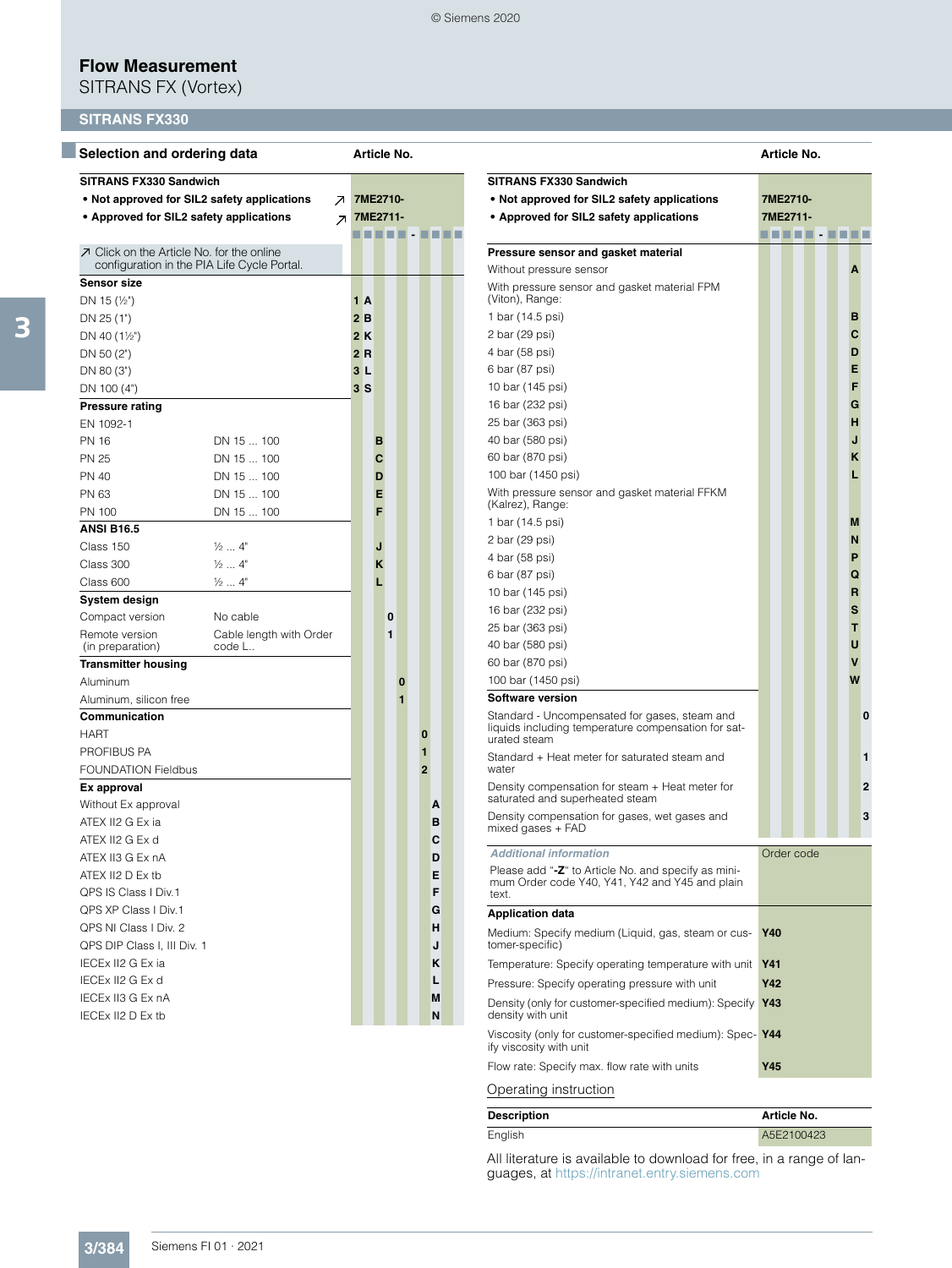SITRANS FX (Vortex)

## **SITRANS FX330**

| Selection and ordering data                                                                    |                           | Article No.              |  |     |          |   |   |  |                |  |  |  |  |  |
|------------------------------------------------------------------------------------------------|---------------------------|--------------------------|--|-----|----------|---|---|--|----------------|--|--|--|--|--|
| <b>SITRANS FX330 Sandwich</b>                                                                  |                           |                          |  |     |          |   |   |  |                |  |  |  |  |  |
| • Not approved for SIL2 safety applications                                                    |                           | л.                       |  |     | 7ME2710- |   |   |  |                |  |  |  |  |  |
| • Approved for SIL2 safety applications                                                        |                           | $\overline{\phantom{a}}$ |  |     | 7ME2711- |   |   |  |                |  |  |  |  |  |
|                                                                                                |                           |                          |  |     | n di B   |   |   |  |                |  |  |  |  |  |
| $\n  I Click on the Article No. for the online$<br>configuration in the PIA Life Cycle Portal. |                           |                          |  |     |          |   |   |  |                |  |  |  |  |  |
| <b>Sensor size</b>                                                                             |                           |                          |  |     |          |   |   |  |                |  |  |  |  |  |
| DN 15 $(\frac{1}{2})$                                                                          |                           |                          |  | 1 A |          |   |   |  |                |  |  |  |  |  |
| DN 25 (1")                                                                                     |                           |                          |  | 2 B |          |   |   |  |                |  |  |  |  |  |
| DN 40 $(1\frac{1}{2})$                                                                         |                           |                          |  | 2 K |          |   |   |  |                |  |  |  |  |  |
| DN 50 (2")                                                                                     |                           |                          |  | 2 R |          |   |   |  |                |  |  |  |  |  |
| DN 80 (3")                                                                                     |                           |                          |  | 3 L |          |   |   |  |                |  |  |  |  |  |
| DN 100 (4")                                                                                    |                           |                          |  | 3 S |          |   |   |  |                |  |  |  |  |  |
| <b>Pressure rating</b>                                                                         |                           |                          |  |     |          |   |   |  |                |  |  |  |  |  |
| EN 1092-1                                                                                      |                           |                          |  |     |          |   |   |  |                |  |  |  |  |  |
| <b>PN 16</b>                                                                                   | DN 15  100                |                          |  |     | в        |   |   |  |                |  |  |  |  |  |
| <b>PN 25</b>                                                                                   | DN 15  100                |                          |  |     | C        |   |   |  |                |  |  |  |  |  |
| <b>PN 40</b>                                                                                   | DN 15  100                |                          |  |     | D        |   |   |  |                |  |  |  |  |  |
| PN 63                                                                                          | DN 15  100                |                          |  |     | Е        |   |   |  |                |  |  |  |  |  |
| <b>PN 100</b>                                                                                  | DN 15  100                |                          |  |     | F        |   |   |  |                |  |  |  |  |  |
| <b>ANSI B16.5</b>                                                                              |                           |                          |  |     |          |   |   |  |                |  |  |  |  |  |
| Class 150                                                                                      | $\frac{1}{2}$ $4"$        |                          |  |     | J        |   |   |  |                |  |  |  |  |  |
| Class 300                                                                                      | $\frac{1}{2}$ $4^{\circ}$ |                          |  |     | κ        |   |   |  |                |  |  |  |  |  |
| Class 600                                                                                      | $\frac{1}{2}$ 4"          |                          |  |     | L        |   |   |  |                |  |  |  |  |  |
| System design                                                                                  |                           |                          |  |     |          |   |   |  |                |  |  |  |  |  |
| Compact version                                                                                | No cable                  |                          |  |     |          | 0 |   |  |                |  |  |  |  |  |
| Remote version                                                                                 | Cable length with Order   |                          |  |     |          | 1 |   |  |                |  |  |  |  |  |
| (in preparation)                                                                               | code L                    |                          |  |     |          |   |   |  |                |  |  |  |  |  |
| <b>Transmitter housing</b>                                                                     |                           |                          |  |     |          |   |   |  |                |  |  |  |  |  |
| Aluminum                                                                                       |                           |                          |  |     |          |   | 0 |  |                |  |  |  |  |  |
| Aluminum, silicon free                                                                         |                           |                          |  |     |          |   | 1 |  |                |  |  |  |  |  |
| Communication                                                                                  |                           |                          |  |     |          |   |   |  |                |  |  |  |  |  |
| <b>HART</b>                                                                                    |                           |                          |  |     |          |   |   |  | 0              |  |  |  |  |  |
| PROFIBUS PA                                                                                    |                           |                          |  |     |          |   |   |  | 1              |  |  |  |  |  |
| <b>FOUNDATION Fieldbus</b>                                                                     |                           |                          |  |     |          |   |   |  | $\overline{2}$ |  |  |  |  |  |
| Ex approval                                                                                    |                           |                          |  |     |          |   |   |  |                |  |  |  |  |  |
| Without Ex approval                                                                            |                           |                          |  |     |          |   |   |  | A              |  |  |  |  |  |
| ATEX II2 G Ex ia                                                                               |                           |                          |  |     |          |   |   |  | в              |  |  |  |  |  |
| ATEX II2 G Ex d                                                                                |                           |                          |  |     |          |   |   |  | C              |  |  |  |  |  |
| ATEX II3 G Ex nA                                                                               |                           |                          |  |     |          |   |   |  | D              |  |  |  |  |  |
| ATEX II2 D Ex tb                                                                               |                           |                          |  |     |          |   |   |  | E              |  |  |  |  |  |
| QPS IS Class I Div.1                                                                           |                           |                          |  |     |          |   |   |  | F              |  |  |  |  |  |
| QPS XP Class   Div.1                                                                           |                           |                          |  |     |          |   |   |  | G              |  |  |  |  |  |
| QPS NI Class I Div. 2                                                                          |                           |                          |  |     |          |   |   |  | н              |  |  |  |  |  |
| QPS DIP Class I, III Div. 1                                                                    |                           |                          |  |     |          |   |   |  | J              |  |  |  |  |  |
| IECEx II2 G Ex ia                                                                              |                           |                          |  |     |          |   |   |  | ĸ              |  |  |  |  |  |
| IECEx II2 G Ex d                                                                               |                           |                          |  |     |          |   |   |  | L              |  |  |  |  |  |
| IECEx II3 G Ex nA                                                                              |                           |                          |  |     |          |   |   |  | M              |  |  |  |  |  |
| IECEx II2 D Ex tb                                                                              |                           |                          |  |     |          |   |   |  | N              |  |  |  |  |  |

|                                                                                                                      | Article No. |     |             |  |  |  |  |   |   |  |
|----------------------------------------------------------------------------------------------------------------------|-------------|-----|-------------|--|--|--|--|---|---|--|
| <b>SITRANS FX330 Sandwich</b>                                                                                        |             |     |             |  |  |  |  |   |   |  |
| • Not approved for SIL2 safety applications                                                                          |             |     | 7ME2710-    |  |  |  |  |   |   |  |
| • Approved for SIL2 safety applications                                                                              |             |     | 7ME2711-    |  |  |  |  |   |   |  |
|                                                                                                                      |             |     | .           |  |  |  |  |   |   |  |
| Pressure sensor and gasket material                                                                                  |             |     |             |  |  |  |  |   |   |  |
| Without pressure sensor                                                                                              |             |     |             |  |  |  |  | A |   |  |
| With pressure sensor and gasket material FPM<br>(Viton), Range:                                                      |             |     |             |  |  |  |  |   |   |  |
| 1 bar (14.5 psi)                                                                                                     |             |     |             |  |  |  |  | в |   |  |
| 2 bar (29 psi)                                                                                                       |             |     |             |  |  |  |  | С |   |  |
| 4 bar (58 psi)                                                                                                       |             |     |             |  |  |  |  | D |   |  |
| 6 bar (87 psi)                                                                                                       |             |     |             |  |  |  |  | Е |   |  |
| 10 bar (145 psi)                                                                                                     |             |     |             |  |  |  |  | F |   |  |
| 16 bar (232 psi)                                                                                                     |             |     |             |  |  |  |  | G |   |  |
| 25 bar (363 psi)                                                                                                     |             |     |             |  |  |  |  | н |   |  |
| 40 bar (580 psi)                                                                                                     |             |     |             |  |  |  |  | J |   |  |
| 60 bar (870 psi)                                                                                                     |             |     |             |  |  |  |  | κ |   |  |
| 100 bar (1450 psi)                                                                                                   |             |     |             |  |  |  |  | L |   |  |
| With pressure sensor and gasket material FFKM<br>(Kalrez), Range:                                                    |             |     |             |  |  |  |  |   |   |  |
| 1 bar (14.5 psi)                                                                                                     |             |     |             |  |  |  |  | М |   |  |
| 2 bar (29 psi)                                                                                                       |             |     |             |  |  |  |  | N |   |  |
| 4 bar (58 psi)                                                                                                       |             |     |             |  |  |  |  | P |   |  |
| 6 bar (87 psi)                                                                                                       |             |     |             |  |  |  |  | Q |   |  |
| 10 bar (145 psi)                                                                                                     |             |     |             |  |  |  |  | R |   |  |
| 16 bar (232 psi)                                                                                                     |             |     |             |  |  |  |  | s |   |  |
| 25 bar (363 psi)                                                                                                     |             |     |             |  |  |  |  | Τ |   |  |
| 40 bar (580 psi)                                                                                                     |             |     |             |  |  |  |  | U |   |  |
| 60 bar (870 psi)                                                                                                     |             |     |             |  |  |  |  | ۷ |   |  |
| 100 bar (1450 psi)                                                                                                   |             |     |             |  |  |  |  | W |   |  |
| <b>Software version</b>                                                                                              |             |     |             |  |  |  |  |   |   |  |
| Standard - Uncompensated for gases, steam and<br>liquids including temperature compensation for sat-<br>urated steam |             |     |             |  |  |  |  |   | 0 |  |
| Standard + Heat meter for saturated steam and<br>water                                                               |             |     |             |  |  |  |  |   | 1 |  |
| Density compensation for steam + Heat meter for<br>saturated and superheated steam                                   |             |     |             |  |  |  |  |   | 2 |  |
| Density compensation for gases, wet gases and<br>mixed gases + FAD                                                   |             |     |             |  |  |  |  |   | 3 |  |
| <b>Additional information</b>                                                                                        |             |     | Order code  |  |  |  |  |   |   |  |
| Please add "-Z" to Article No. and specify as mini-<br>mum Order code Y40, Y41, Y42 and Y45 and plain<br>text.       |             |     |             |  |  |  |  |   |   |  |
| <b>Application data</b>                                                                                              |             |     |             |  |  |  |  |   |   |  |
| Medium: Specify medium (Liquid, gas, steam or cus-<br>tomer-specific)                                                |             | Y40 |             |  |  |  |  |   |   |  |
| Temperature: Specify operating temperature with unit                                                                 |             | Y41 |             |  |  |  |  |   |   |  |
| Pressure: Specify operating pressure with unit                                                                       |             | Y42 |             |  |  |  |  |   |   |  |
| Density (only for customer-specified medium): Specify<br>density with unit                                           |             | Y43 |             |  |  |  |  |   |   |  |
| Viscosity (only for customer-specified medium): Spec-Y44<br>ify viscosity with unit                                  |             |     |             |  |  |  |  |   |   |  |
| Flow rate: Specify max. flow rate with units                                                                         |             | Y45 |             |  |  |  |  |   |   |  |
|                                                                                                                      |             |     |             |  |  |  |  |   |   |  |
| Operating instruction                                                                                                |             |     |             |  |  |  |  |   |   |  |
| Description                                                                                                          |             |     | Article No. |  |  |  |  |   |   |  |

| Description | Article No. |
|-------------|-------------|
| English     | A5E2100423  |

All literature is available to download for free, in a range of languages, at <https://intranet.entry.siemens.com>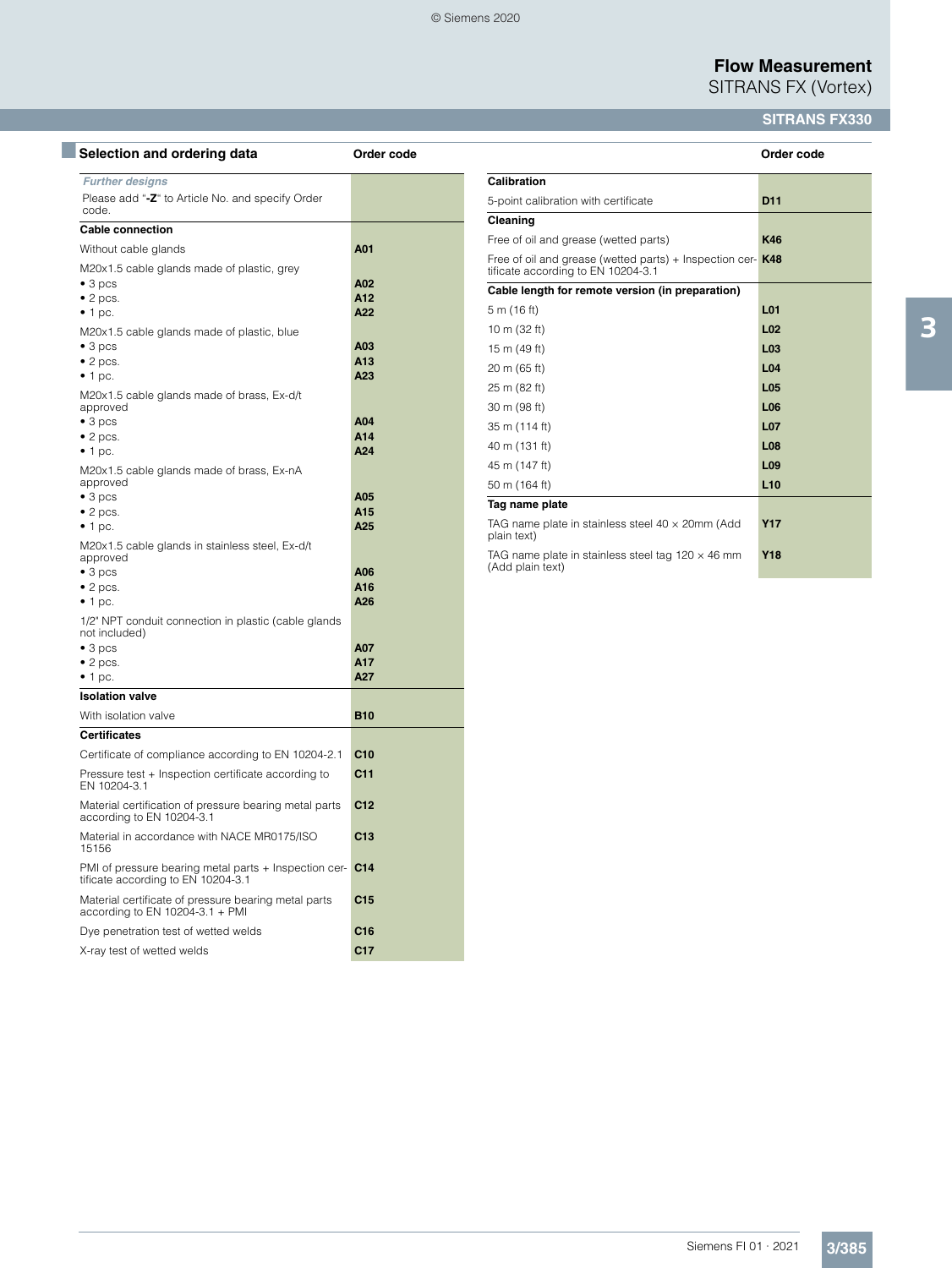SITRANS FX (Vortex)

## **SITRANS FX330**

| Selection and ordering data                                                                 | Order code      |
|---------------------------------------------------------------------------------------------|-----------------|
| <b>Further designs</b><br>Please add "-Z" to Article No. and specify Order<br>code.         |                 |
| <b>Cable connection</b>                                                                     |                 |
| Without cable glands                                                                        | A01             |
| M20x1.5 cable glands made of plastic, grey                                                  |                 |
| $\bullet$ 3 pcs                                                                             | A02             |
| $\bullet$ 2 pcs.                                                                            | A12<br>A22      |
| $\bullet$ 1 pc.<br>M20x1.5 cable glands made of plastic, blue                               |                 |
| $\bullet$ 3 pcs                                                                             | A03             |
| $\bullet$ 2 pcs.                                                                            | A13             |
| $\bullet$ 1 pc.                                                                             | A23             |
| M20x1.5 cable glands made of brass, Ex-d/t<br>approved                                      |                 |
| $\bullet$ 3 pcs                                                                             | A04<br>A14      |
| $\bullet$ 2 pcs.<br>$\bullet$ 1 pc.                                                         | A24             |
| M20x1.5 cable glands made of brass, Ex-nA<br>approved                                       |                 |
| $\bullet$ 3 pcs                                                                             | A05             |
| $\bullet$ 2 pcs.                                                                            | A15             |
| $\bullet$ 1 pc.                                                                             | A25             |
| M20x1.5 cable glands in stainless steel, Ex-d/t<br>approved                                 |                 |
| $\bullet$ 3 pcs<br>$\bullet$ 2 pcs.                                                         | A06<br>A16      |
| $\bullet$ 1 pc.                                                                             | A26             |
| 1/2" NPT conduit connection in plastic (cable glands<br>not included)                       |                 |
| $\bullet$ 3 pcs                                                                             | A07             |
| $\bullet$ 2 pcs.                                                                            | A17<br>A27      |
| $\bullet$ 1 pc.<br><b>Isolation valve</b>                                                   |                 |
| With isolation valve                                                                        | <b>B10</b>      |
| <b>Certificates</b>                                                                         |                 |
| Certificate of compliance according to EN 10204-2.1                                         | C10             |
| Pressure test + Inspection certificate according to<br>EN 10204-3.1                         | C <sub>11</sub> |
| Material certification of pressure bearing metal parts<br>according to EN 10204-3.1         | C12             |
| Material in accordance with NACE MR0175/ISO<br>15156                                        | C13             |
| PMI of pressure bearing metal parts + Inspection cer-<br>tificate according to EN 10204-3.1 | C <sub>14</sub> |
| Material certificate of pressure bearing metal parts<br>according to EN 10204-3.1 + PMI     | C15             |
|                                                                                             |                 |
| Dye penetration test of wetted welds                                                        | C16             |

|                                                                                               | Order code      |
|-----------------------------------------------------------------------------------------------|-----------------|
| Calibration                                                                                   |                 |
| 5-point calibration with certificate                                                          | D <sub>11</sub> |
| Cleaning                                                                                      |                 |
| Free of oil and grease (wetted parts)                                                         | K46             |
| Free of oil and grease (wetted parts) + Inspection cer-<br>tificate according to EN 10204-3.1 | K48             |
| Cable length for remote version (in preparation)                                              |                 |
| 5 m (16 ft)                                                                                   | L <sub>01</sub> |
| 10 m (32 ft)                                                                                  | L <sub>02</sub> |
| 15 m (49 ft)                                                                                  | L <sub>03</sub> |
| 20 m (65 ft)                                                                                  | L <sub>04</sub> |
| 25 m (82 ft)                                                                                  | L <sub>05</sub> |
| 30 m (98 ft)                                                                                  | L <sub>06</sub> |
| 35 m (114 ft)                                                                                 | <b>L07</b>      |
| 40 m (131 ft)                                                                                 | <b>L08</b>      |
| 45 m (147 ft)                                                                                 | L <sub>09</sub> |
| 50 m (164 ft)                                                                                 | L10             |
| Tag name plate                                                                                |                 |
| TAG name plate in stainless steel $40 \times 20$ mm (Add<br>plain text)                       | <b>Y17</b>      |
| TAG name plate in stainless steel tag $120 \times 46$ mm<br>(Add plain text)                  | <b>Y18</b>      |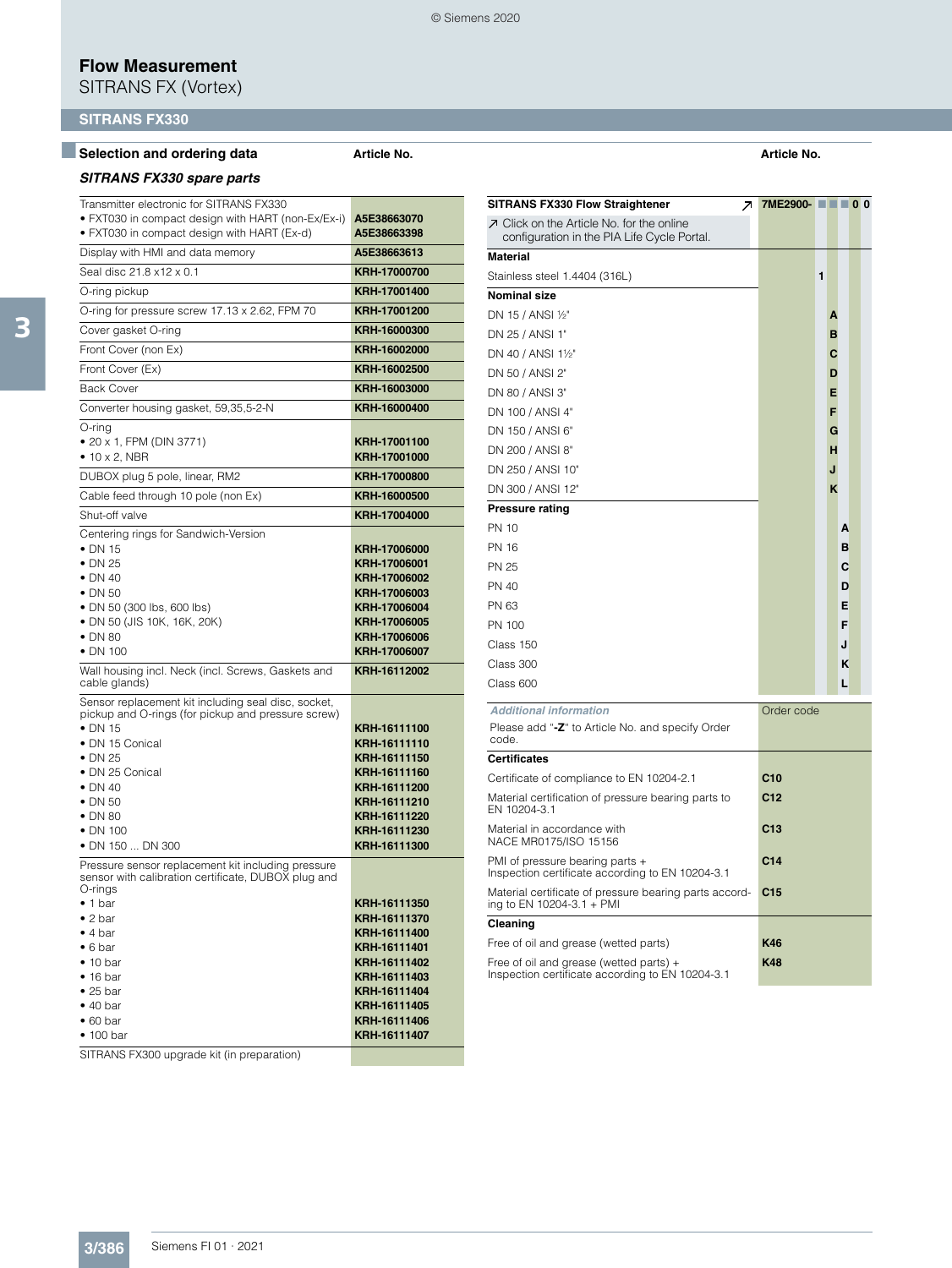SITRANS FX (Vortex)

## **SITRANS FX330**

### ■**Selection and ordering data Article No. Article No.**

### *SITRANS FX330 spare parts*

| Transmitter electronic for SITRANS FX330<br>• FXT030 in compact design with HART (non-Ex/Ex-i)<br>• FXT030 in compact design with HART (Ex-d)                                                                                                                                                     | A5E38663070<br>A5E38663398                                                                                                                                   |
|---------------------------------------------------------------------------------------------------------------------------------------------------------------------------------------------------------------------------------------------------------------------------------------------------|--------------------------------------------------------------------------------------------------------------------------------------------------------------|
| Display with HMI and data memory                                                                                                                                                                                                                                                                  | A5E38663613                                                                                                                                                  |
| Seal disc 21.8 x12 x 0.1                                                                                                                                                                                                                                                                          | KRH-17000700                                                                                                                                                 |
| O-ring pickup                                                                                                                                                                                                                                                                                     | KRH-17001400                                                                                                                                                 |
| O-ring for pressure screw 17.13 x 2.62, FPM 70                                                                                                                                                                                                                                                    | KRH-17001200                                                                                                                                                 |
| Cover gasket O-ring                                                                                                                                                                                                                                                                               | KRH-16000300                                                                                                                                                 |
| Front Cover (non Ex)                                                                                                                                                                                                                                                                              | KRH-16002000                                                                                                                                                 |
| Front Cover (Ex)                                                                                                                                                                                                                                                                                  | KRH-16002500                                                                                                                                                 |
| <b>Back Cover</b>                                                                                                                                                                                                                                                                                 | KRH-16003000                                                                                                                                                 |
| Converter housing gasket, 59,35,5-2-N                                                                                                                                                                                                                                                             | KRH-16000400                                                                                                                                                 |
| O-ring<br>• 20 x 1, FPM (DIN 3771)<br>$\bullet$ 10 x 2, NBR                                                                                                                                                                                                                                       | KRH-17001100<br>KRH-17001000                                                                                                                                 |
| DUBOX plug 5 pole, linear, RM2                                                                                                                                                                                                                                                                    | KRH-17000800                                                                                                                                                 |
| Cable feed through 10 pole (non Ex)                                                                                                                                                                                                                                                               | KRH-16000500                                                                                                                                                 |
| Shut-off valve                                                                                                                                                                                                                                                                                    | KRH-17004000                                                                                                                                                 |
| Centering rings for Sandwich-Version<br>$\bullet$ DN 15<br>$\bullet$ DN 25<br>$\bullet$ DN 40<br>$\bullet$ DN 50<br>· DN 50 (300 lbs, 600 lbs)<br>• DN 50 (JIS 10K, 16K, 20K)<br>$\bullet$ DN 80<br>$\bullet$ DN 100                                                                              | KRH-17006000<br>KRH-17006001<br>KRH-17006002<br>KRH-17006003<br>KRH-17006004<br>KRH-17006005<br>KRH-17006006<br>KRH-17006007                                 |
| Wall housing incl. Neck (incl. Screws, Gaskets and<br>cable glands)                                                                                                                                                                                                                               | KRH-16112002                                                                                                                                                 |
| Sensor replacement kit including seal disc, socket,<br>pickup and O-rings (for pickup and pressure screw)<br>$\bullet$ DN 15<br>• DN 15 Conical<br>$\bullet$ DN 25<br>• DN 25 Conical<br>$\bullet$ DN 40<br>$\bullet$ DN 50<br>$\bullet$ DN 80<br>$\bullet$ DN 100<br>• DN 150  DN 300            | KRH-16111100<br>KRH-16111110<br>KRH-16111150<br>KRH-16111160<br>KRH-16111200<br>KRH-16111210<br>KRH-16111220<br>KRH-16111230<br>KRH-16111300                 |
| Pressure sensor replacement kit including pressure<br>sensor with calibration certificate, DUBOX plug and<br>O-rings<br>• 1 bar<br>$\bullet$ 2 bar<br>• 4 bar<br>$\bullet$ 6 bar<br>$\bullet$ 10 bar<br>$\bullet$ 16 bar<br>$\bullet$ 25 bar<br>• 40 bar<br>$\bullet$ 60 bar<br>$\bullet$ 100 bar | KRH-16111350<br>KRH-16111370<br>KRH-16111400<br>KRH-16111401<br>KRH-16111402<br>KRH-16111403<br>KRH-16111404<br>KRH-16111405<br>KRH-16111406<br>KRH-16111407 |

SITRANS FX300 upgrade kit (in preparation)

| SITRANS FX330 Flow Straightener<br>ᅎ                                                           | 7ME2900- ■■■ 0 0 |   |   |   |  |
|------------------------------------------------------------------------------------------------|------------------|---|---|---|--|
| $\n  I Click on the Article No. for the online$<br>configuration in the PIA Life Cycle Portal. |                  |   |   |   |  |
| Material                                                                                       |                  |   |   |   |  |
| Stainless steel 1.4404 (316L)                                                                  |                  | 1 |   |   |  |
| Nominal size                                                                                   |                  |   |   |   |  |
| DN 15 / ANSI ½"                                                                                |                  |   | Α |   |  |
| DN 25 / ANSI 1"                                                                                |                  |   | в |   |  |
| DN 40 / ANSI 1½"                                                                               |                  |   | С |   |  |
| DN 50 / ANSI 2"                                                                                |                  |   | D |   |  |
| DN 80 / ANSI 3"                                                                                |                  |   | E |   |  |
| DN 100 / ANSI 4"                                                                               |                  |   | F |   |  |
| DN 150 / ANSI 6"                                                                               |                  |   | G |   |  |
| DN 200 / ANSI 8"                                                                               |                  |   | н |   |  |
| DN 250 / ANSI 10"                                                                              |                  |   | J |   |  |
| DN 300 / ANSI 12"                                                                              |                  |   | K |   |  |
| Pressure rating                                                                                |                  |   |   |   |  |
| PN 10                                                                                          |                  |   |   | A |  |
| PN 16                                                                                          |                  |   |   | в |  |
| PN 25                                                                                          |                  |   |   | С |  |
| PN 40                                                                                          |                  |   |   | D |  |
| PN 63                                                                                          |                  |   |   | Е |  |
| PN 100                                                                                         |                  |   |   | F |  |
| Class 150                                                                                      |                  |   |   | J |  |
| Class 300                                                                                      |                  |   |   | ĸ |  |
| Class 600                                                                                      |                  |   |   | L |  |
| <b>Additional information</b>                                                                  | Order code       |   |   |   |  |
| Please add "-Z" to Article No. and specify Order<br>code.                                      |                  |   |   |   |  |
| Certificates                                                                                   |                  |   |   |   |  |
| Certificate of compliance to EN 10204-2.1                                                      | C <sub>10</sub>  |   |   |   |  |
| Material certification of pressure bearing parts to<br>EN 10204-3.1                            | C12              |   |   |   |  |
| Material in accordance with<br>NACE MR0175/ISO 15156                                           | C13              |   |   |   |  |
| PMI of pressure bearing parts +<br>Inspection certificate according to EN 10204-3.1            | C <sub>14</sub>  |   |   |   |  |
| Material certificate of pressure bearing parts accord-<br>ing to EN 10204-3.1 + PMI            | C15              |   |   |   |  |
| Cleaning                                                                                       |                  |   |   |   |  |
| Free of oil and grease (wetted parts)                                                          | K46              |   |   |   |  |
| Free of oil and grease (wetted parts) +<br>Inspection certificate according to EN 10204-3.1    | K48              |   |   |   |  |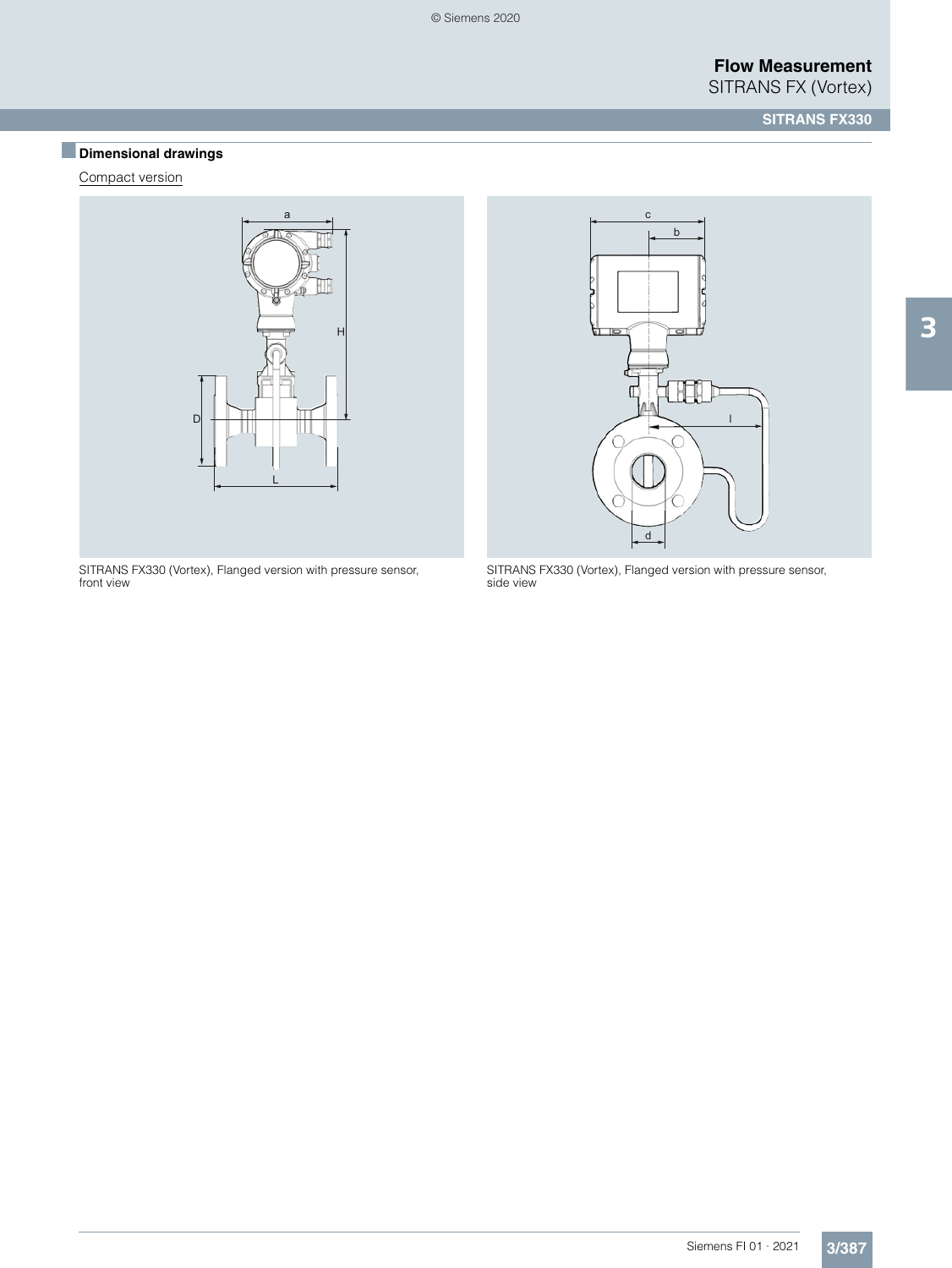# ■**Dimensional drawings**

Compact version



SITRANS FX330 (Vortex), Flanged version with pressure sensor, front view



SITRANS FX330 (Vortex), Flanged version with pressure sensor, side view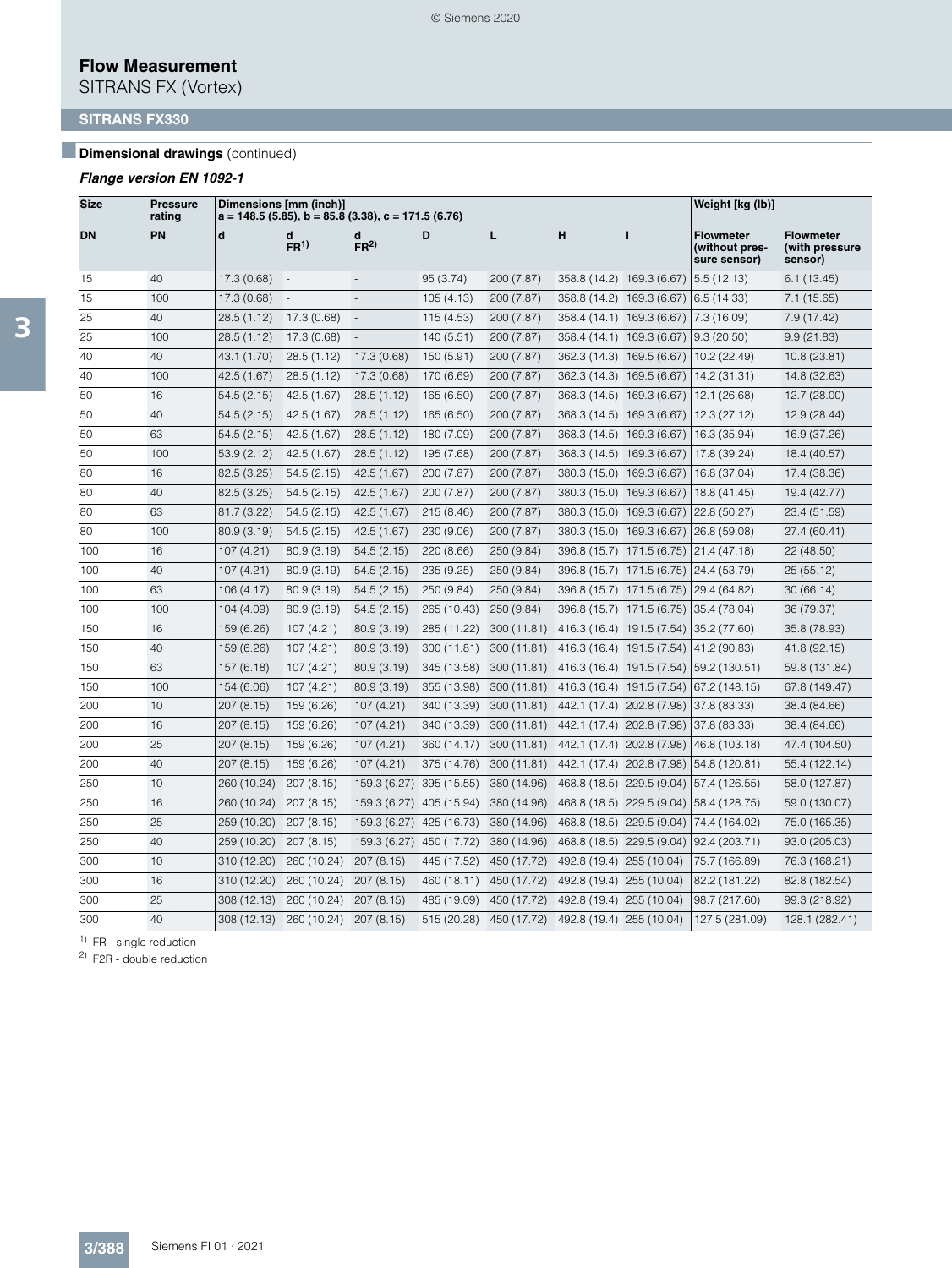SITRANS FX (Vortex)

## **SITRANS FX330**

### *Dimensional drawings* (continued)

### *Flange version EN 1092-1*

| <b>Size</b> | Pressure<br>ratinq |             | Dimensions [mm (inch)]<br>$a = 148.5$ (5.85), b = 85.8 (3.38), c = 171.5 (6.76) |                          |             |             |                           |                           | Weight [kg (lb)]                                   |                                               |
|-------------|--------------------|-------------|---------------------------------------------------------------------------------|--------------------------|-------------|-------------|---------------------------|---------------------------|----------------------------------------------------|-----------------------------------------------|
| DN          | PN                 | d           | d<br>FR <sup>1</sup>                                                            | d<br>FR <sup>2</sup>     | D           | L           | н                         | $\mathbf{I}$              | <b>Flowmeter</b><br>(without pres-<br>sure sensor) | <b>Flowmeter</b><br>(with pressure<br>sensor) |
| 15          | 40                 | 17.3 (0.68) | $\overline{\phantom{a}}$                                                        | $\overline{a}$           | 95 (3.74)   | 200 (7.87)  | 358.8 (14.2) 169.3 (6.67) |                           | 5.5(12.13)                                         | 6.1(13.45)                                    |
| 15          | 100                | 17.3 (0.68) | $\overline{\phantom{a}}$                                                        | $\overline{\phantom{a}}$ | 105(4.13)   | 200 (7.87)  | 358.8 (14.2) 169.3 (6.67) |                           | 6.5(14.33)                                         | 7.1(15.65)                                    |
| 25          | 40                 | 28.5 (1.12) | 17.3 (0.68)                                                                     | $\overline{\phantom{a}}$ | 115 (4.53)  | 200 (7.87)  | 358.4 (14.1) 169.3 (6.67) |                           | 7.3 (16.09)                                        | 7.9 (17.42)                                   |
| 25          | 100                | 28.5 (1.12) | 17.3(0.68)                                                                      | $\Box$                   | 140 (5.51)  | 200 (7.87)  | 358.4 (14.1) 169.3 (6.67) |                           | 9.3(20.50)                                         | 9.9(21.83)                                    |
| 40          | 40                 | 43.1 (1.70) | 28.5 (1.12)                                                                     | 17.3 (0.68)              | 150 (5.91)  | 200 (7.87)  | 362.3 (14.3) 169.5 (6.67) |                           | 10.2 (22.49)                                       | 10.8 (23.81)                                  |
| 40          | 100                | 42.5 (1.67) | 28.5 (1.12)                                                                     | 17.3 (0.68)              | 170 (6.69)  | 200 (7.87)  | 362.3 (14.3) 169.5 (6.67) |                           | 14.2 (31.31)                                       | 14.8 (32.63)                                  |
| 50          | 16                 | 54.5(2.15)  | 42.5 (1.67)                                                                     | 28.5 (1.12)              | 165 (6.50)  | 200 (7.87)  | 368.3 (14.5) 169.3 (6.67) |                           | 12.1 (26.68)                                       | 12.7 (28.00)                                  |
| 50          | 40                 | 54.5(2.15)  | 42.5 (1.67)                                                                     | 28.5(1.12)               | 165 (6.50)  | 200 (7.87)  | 368.3 (14.5) 169.3 (6.67) |                           | 12.3 (27.12)                                       | 12.9 (28.44)                                  |
| 50          | 63                 | 54.5(2.15)  | 42.5 (1.67)                                                                     | 28.5 (1.12)              | 180 (7.09)  | 200 (7.87)  | 368.3 (14.5) 169.3 (6.67) |                           | 16.3 (35.94)                                       | 16.9 (37.26)                                  |
| 50          | 100                | 53.9(2.12)  | 42.5 (1.67)                                                                     | 28.5(1.12)               | 195 (7.68)  | 200 (7.87)  | 368.3 (14.5) 169.3 (6.67) |                           | 17.8 (39.24)                                       | 18.4 (40.57)                                  |
| 80          | 16                 | 82.5 (3.25) | 54.5(2.15)                                                                      | 42.5 (1.67)              | 200 (7.87)  | 200 (7.87)  | 380.3 (15.0) 169.3 (6.67) |                           | 16.8 (37.04)                                       | 17.4 (38.36)                                  |
| 80          | 40                 | 82.5 (3.25) | 54.5(2.15)                                                                      | 42.5 (1.67)              | 200 (7.87)  | 200 (7.87)  | 380.3 (15.0) 169.3 (6.67) |                           | 18.8 (41.45)                                       | 19.4 (42.77)                                  |
| 80          | 63                 | 81.7 (3.22) | 54.5(2.15)                                                                      | 42.5 (1.67)              | 215 (8.46)  | 200 (7.87)  | 380.3 (15.0) 169.3 (6.67) |                           | 22.8 (50.27)                                       | 23.4 (51.59)                                  |
| 80          | 100                | 80.9 (3.19) | 54.5(2.15)                                                                      | 42.5 (1.67)              | 230 (9.06)  | 200 (7.87)  | 380.3 (15.0) 169.3 (6.67) |                           | 26.8 (59.08)                                       | 27.4 (60.41)                                  |
| 100         | 16                 | 107 (4.21)  | 80.9 (3.19)                                                                     | 54.5(2.15)               | 220 (8.66)  | 250 (9.84)  | 396.8 (15.7) 171.5 (6.75) |                           | 21.4 (47.18)                                       | 22 (48.50)                                    |
| 100         | 40                 | 107 (4.21)  | 80.9 (3.19)                                                                     | 54.5(2.15)               | 235 (9.25)  | 250 (9.84)  | 396.8 (15.7) 171.5 (6.75) |                           | 24.4 (53.79)                                       | 25(55.12)                                     |
| 100         | 63                 | 106 (4.17)  | 80.9 (3.19)                                                                     | 54.5(2.15)               | 250 (9.84)  | 250 (9.84)  | 396.8 (15.7) 171.5 (6.75) |                           | 29.4 (64.82)                                       | 30(66.14)                                     |
| 100         | 100                | 104 (4.09)  | 80.9 (3.19)                                                                     | 54.5(2.15)               | 265 (10.43) | 250 (9.84)  | 396.8 (15.7) 171.5 (6.75) |                           | 35.4 (78.04)                                       | 36 (79.37)                                    |
| 150         | 16                 | 159 (6.26)  | 107 (4.21)                                                                      | 80.9 (3.19)              | 285 (11.22) | 300 (11.81) | 416.3 (16.4) 191.5 (7.54) |                           | 35.2 (77.60)                                       | 35.8 (78.93)                                  |
| 150         | 40                 | 159 (6.26)  | 107 (4.21)                                                                      | 80.9(3.19)               | 300 (11.81) | 300 (11.81) | 416.3 (16.4) 191.5 (7.54) |                           | 41.2 (90.83)                                       | 41.8 (92.15)                                  |
| 150         | 63                 | 157 (6.18)  | 107 (4.21)                                                                      | 80.9 (3.19)              | 345 (13.58) | 300 (11.81) | 416.3 (16.4) 191.5 (7.54) |                           | 59.2 (130.51)                                      | 59.8 (131.84)                                 |
| 150         | 100                | 154 (6.06)  | 107 (4.21)                                                                      | 80.9 (3.19)              | 355 (13.98) | 300 (11.81) | 416.3 (16.4) 191.5 (7.54) |                           | 67.2 (148.15)                                      | 67.8 (149.47)                                 |
| 200         | 10                 | 207 (8.15)  | 159 (6.26)                                                                      | 107 (4.21)               | 340 (13.39) | 300 (11.81) | 442.1 (17.4) 202.8 (7.98) |                           | 37.8 (83.33)                                       | 38.4 (84.66)                                  |
| 200         | 16                 | 207 (8.15)  | 159 (6.26)                                                                      | 107(4.21)                | 340 (13.39) | 300 (11.81) | 442.1 (17.4) 202.8 (7.98) |                           | 37.8 (83.33)                                       | 38.4 (84.66)                                  |
| 200         | 25                 | 207 (8.15)  | 159 (6.26)                                                                      | 107(4.21)                | 360 (14.17) | 300 (11.81) | 442.1 (17.4) 202.8 (7.98) |                           | 46.8 (103.18)                                      | 47.4 (104.50)                                 |
| 200         | 40                 | 207 (8.15)  | 159 (6.26)                                                                      | 107(4.21)                | 375 (14.76) | 300 (11.81) | 442.1 (17.4) 202.8 (7.98) |                           | 54.8 (120.81)                                      | 55.4 (122.14)                                 |
| 250         | 10                 | 260 (10.24) | 207 (8.15)                                                                      | 159.3 (6.27)             | 395 (15.55) | 380 (14.96) | 468.8 (18.5) 229.5 (9.04) |                           | 57.4 (126.55)                                      | 58.0 (127.87)                                 |
| 250         | 16                 | 260 (10.24) | 207 (8.15)                                                                      | 159.3 (6.27)             | 405 (15.94) | 380 (14.96) |                           | 468.8 (18.5) 229.5 (9.04) | 58.4 (128.75)                                      | 59.0 (130.07)                                 |
| 250         | 25                 | 259 (10.20) | 207 (8.15)                                                                      | 159.3 (6.27)             | 425 (16.73) | 380 (14.96) |                           | 468.8 (18.5) 229.5 (9.04) | 74.4 (164.02)                                      | 75.0 (165.35)                                 |
| 250         | 40                 | 259 (10.20) | 207 (8.15)                                                                      | 159.3 (6.27) 450 (17.72) |             | 380 (14.96) |                           | 468.8 (18.5) 229.5 (9.04) | 92.4 (203.71)                                      | 93.0 (205.03)                                 |
| 300         | 10                 | 310 (12.20) | 260 (10.24)                                                                     | 207 (8.15)               | 445 (17.52) | 450 (17.72) | 492.8 (19.4) 255 (10.04)  |                           | 75.7 (166.89)                                      | 76.3 (168.21)                                 |
| 300         | 16                 | 310 (12.20) | 260 (10.24)                                                                     | 207 (8.15)               | 460 (18.11) | 450 (17.72) | 492.8 (19.4) 255 (10.04)  |                           | 82.2 (181.22)                                      | 82.8 (182.54)                                 |
| 300         | 25                 | 308 (12.13) | 260 (10.24)                                                                     | 207 (8.15)               | 485 (19.09) | 450 (17.72) | 492.8 (19.4) 255 (10.04)  |                           | 98.7 (217.60)                                      | 99.3 (218.92)                                 |
| 300         | 40                 | 308 (12.13) | 260 (10.24)                                                                     | 207 (8.15)               | 515 (20.28) | 450 (17.72) | 492.8 (19.4) 255 (10.04)  |                           | 127.5 (281.09)                                     | 128.1 (282.41)                                |

<sup>1)</sup> FR - single reduction

2) F2R - double reduction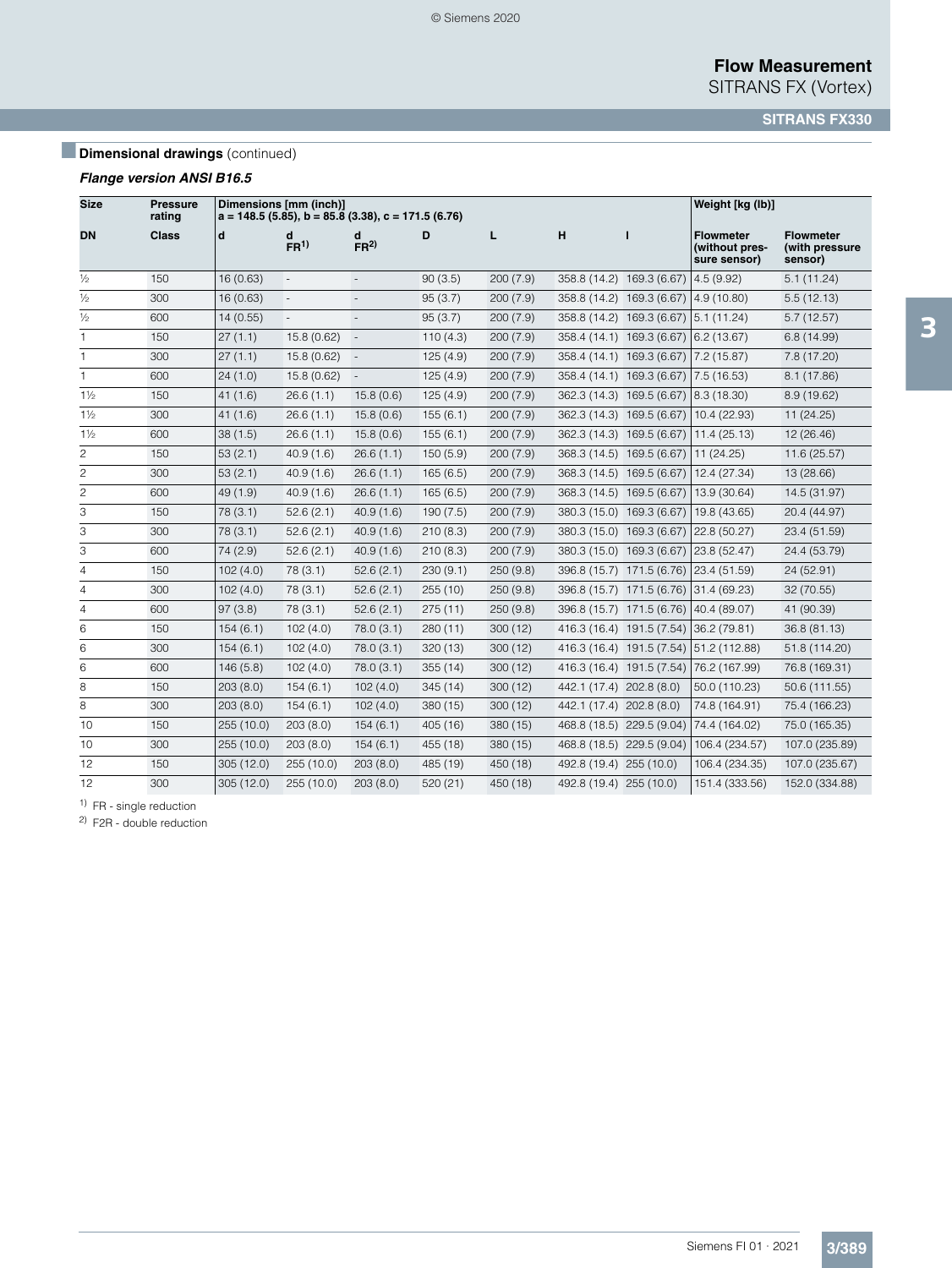SITRANS FX (Vortex)

**SITRANS FX330**

# **Dimensional drawings** (continued)

### *Flange version ANSI B16.5*

| <b>Size</b>    | <b>Pressure</b><br>rating |            | Dimensions [mm (inch)]<br>$a = 148.5$ (5.85), b = 85.8 (3.38), c = 171.5 (6.76) |                          |          |          |                           |                                       | Weight [kg (lb)]                                   |                                               |
|----------------|---------------------------|------------|---------------------------------------------------------------------------------|--------------------------|----------|----------|---------------------------|---------------------------------------|----------------------------------------------------|-----------------------------------------------|
| <b>DN</b>      | Class                     | d          | FR <sup>1</sup>                                                                 | d<br>FR <sup>2</sup>     | D        | г        | н                         | п                                     | <b>Flowmeter</b><br>(without pres-<br>sure sensor) | <b>Flowmeter</b><br>(with pressure<br>sensor) |
| $\frac{1}{2}$  | 150                       | 16(0.63)   | $\overline{\phantom{a}}$                                                        | $\overline{\phantom{a}}$ | 90(3.5)  | 200(7.9) | 358.8 (14.2) 169.3 (6.67) |                                       | 4.5(9.92)                                          | 5.1(11.24)                                    |
| $\frac{1}{2}$  | 300                       | 16(0.63)   |                                                                                 |                          | 95(3.7)  | 200(7.9) |                           | 358.8 (14.2) 169.3 (6.67)             | 4.9(10.80)                                         | 5.5(12.13)                                    |
| $\frac{1}{2}$  | 600                       | 14 (0.55)  | $\overline{\phantom{a}}$                                                        | $\overline{\phantom{a}}$ | 95(3.7)  | 200(7.9) |                           | 358.8 (14.2) 169.3 (6.67)             | 5.1(11.24)                                         | 5.7(12.57)                                    |
| 1              | 150                       | 27(1.1)    | 15.8(0.62)                                                                      | $\overline{\phantom{a}}$ | 110(4.3) | 200(7.9) |                           | 358.4 (14.1) 169.3 (6.67) 6.2 (13.67) |                                                    | 6.8(14.99)                                    |
| 1              | 300                       | 27(1.1)    | 15.8(0.62)                                                                      | $\overline{\phantom{a}}$ | 125(4.9) | 200(7.9) |                           | 358.4 (14.1) 169.3 (6.67)             | 7.2 (15.87)                                        | 7.8(17.20)                                    |
| 1              | 600                       | 24(1.0)    | 15.8(0.62)                                                                      | $\overline{\phantom{a}}$ | 125(4.9) | 200(7.9) |                           | 358.4 (14.1) 169.3 (6.67)             | 7.5(16.53)                                         | 8.1(17.86)                                    |
| $1\frac{1}{2}$ | 150                       | 41(1.6)    | 26.6(1.1)                                                                       | 15.8(0.6)                | 125(4.9) | 200(7.9) | 362.3 (14.3)              | 169.5 (6.67)                          | 8.3(18.30)                                         | 8.9(19.62)                                    |
| $1\frac{1}{2}$ | 300                       | 41(1.6)    | 26.6(1.1)                                                                       | 15.8(0.6)                | 155(6.1) | 200(7.9) | 362.3 (14.3)              | 169.5 (6.67)                          | 10.4 (22.93)                                       | 11 (24.25)                                    |
| $1\frac{1}{2}$ | 600                       | 38(1.5)    | 26.6(1.1)                                                                       | 15.8(0.6)                | 155(6.1) | 200(7.9) | 362.3 (14.3) 169.5 (6.67) |                                       | 11.4(25.13)                                        | 12 (26.46)                                    |
| $\overline{c}$ | 150                       | 53(2.1)    | 40.9(1.6)                                                                       | 26.6(1.1)                | 150(5.9) | 200(7.9) | 368.3 (14.5) 169.5 (6.67) |                                       | 11 (24.25)                                         | 11.6(25.57)                                   |
| $\overline{c}$ | 300                       | 53(2.1)    | 40.9(1.6)                                                                       | 26.6(1.1)                | 165(6.5) | 200(7.9) | 368.3 (14.5) 169.5 (6.67) |                                       | 12.4 (27.34)                                       | 13 (28.66)                                    |
| $\overline{c}$ | 600                       | 49(1.9)    | 40.9(1.6)                                                                       | 26.6(1.1)                | 165(6.5) | 200(7.9) | 368.3 (14.5) 169.5 (6.67) |                                       | 13.9 (30.64)                                       | 14.5 (31.97)                                  |
| 3              | 150                       | 78(3.1)    | 52.6(2.1)                                                                       | 40.9(1.6)                | 190(7.5) | 200(7.9) | 380.3 (15.0) 169.3 (6.67) |                                       | 19.8 (43.65)                                       | 20.4 (44.97)                                  |
| 3              | 300                       | 78(3.1)    | 52.6(2.1)                                                                       | 40.9(1.6)                | 210(8.3) | 200(7.9) | 380.3 (15.0) 169.3 (6.67) |                                       | 22.8 (50.27)                                       | 23.4 (51.59)                                  |
| 3              | 600                       | 74 (2.9)   | 52.6(2.1)                                                                       | 40.9(1.6)                | 210(8.3) | 200(7.9) | 380.3 (15.0) 169.3 (6.67) |                                       | 23.8 (52.47)                                       | 24.4 (53.79)                                  |
| 4              | 150                       | 102(4.0)   | 78(3.1)                                                                         | 52.6(2.1)                | 230(9.1) | 250(9.8) |                           | 396.8 (15.7) 171.5 (6.76)             | 23.4 (51.59)                                       | 24 (52.91)                                    |
| 4              | 300                       | 102(4.0)   | 78(3.1)                                                                         | 52.6(2.1)                | 255 (10) | 250(9.8) |                           | 396.8 (15.7) 171.5 (6.76)             | 31.4 (69.23)                                       | 32 (70.55)                                    |
| 4              | 600                       | 97(3.8)    | 78(3.1)                                                                         | 52.6(2.1)                | 275(11)  | 250(9.8) |                           | 396.8 (15.7) 171.5 (6.76)             | 40.4 (89.07)                                       | 41 (90.39)                                    |
| 6              | 150                       | 154(6.1)   | 102(4.0)                                                                        | 78.0(3.1)                | 280(11)  | 300(12)  | 416.3 (16.4) 191.5 (7.54) |                                       | 36.2 (79.81)                                       | 36.8 (81.13)                                  |
| 6              | 300                       | 154(6.1)   | 102(4.0)                                                                        | 78.0(3.1)                | 320(13)  | 300(12)  |                           | 416.3 (16.4) 191.5 (7.54)             | 51.2 (112.88)                                      | 51.8 (114.20)                                 |
| 6              | 600                       | 146(5.8)   | 102(4.0)                                                                        | 78.0(3.1)                | 355(14)  | 300(12)  |                           | 416.3 (16.4) 191.5 (7.54)             | 76.2 (167.99)                                      | 76.8 (169.31)                                 |
| 8              | 150                       | 203(8.0)   | 154(6.1)                                                                        | 102(4.0)                 | 345(14)  | 300(12)  | 442.1 (17.4) 202.8 (8.0)  |                                       | 50.0 (110.23)                                      | 50.6 (111.55)                                 |
| 8              | 300                       | 203(8.0)   | 154(6.1)                                                                        | 102(4.0)                 | 380 (15) | 300(12)  | 442.1 (17.4) 202.8 (8.0)  |                                       | 74.8 (164.91)                                      | 75.4 (166.23)                                 |
| 10             | 150                       | 255 (10.0) | 203(8.0)                                                                        | 154(6.1)                 | 405 (16) | 380 (15) |                           | 468.8 (18.5) 229.5 (9.04)             | 74.4 (164.02)                                      | 75.0 (165.35)                                 |
| 10             | 300                       | 255 (10.0) | 203(8.0)                                                                        | 154(6.1)                 | 455 (18) | 380 (15) |                           | 468.8 (18.5) 229.5 (9.04)             | 106.4 (234.57)                                     | 107.0 (235.89)                                |
| 12             | 150                       | 305 (12.0) | 255 (10.0)                                                                      | 203(8.0)                 | 485 (19) | 450 (18) | 492.8 (19.4) 255 (10.0)   |                                       | 106.4 (234.35)                                     | 107.0 (235.67)                                |
| 12             | 300                       | 305(12.0)  | 255 (10.0)                                                                      | 203(8.0)                 | 520 (21) | 450 (18) | 492.8 (19.4) 255 (10.0)   |                                       | 151.4 (333.56)                                     | 152.0 (334.88)                                |

<sup>1)</sup> FR - single reduction

2) F2R - double reduction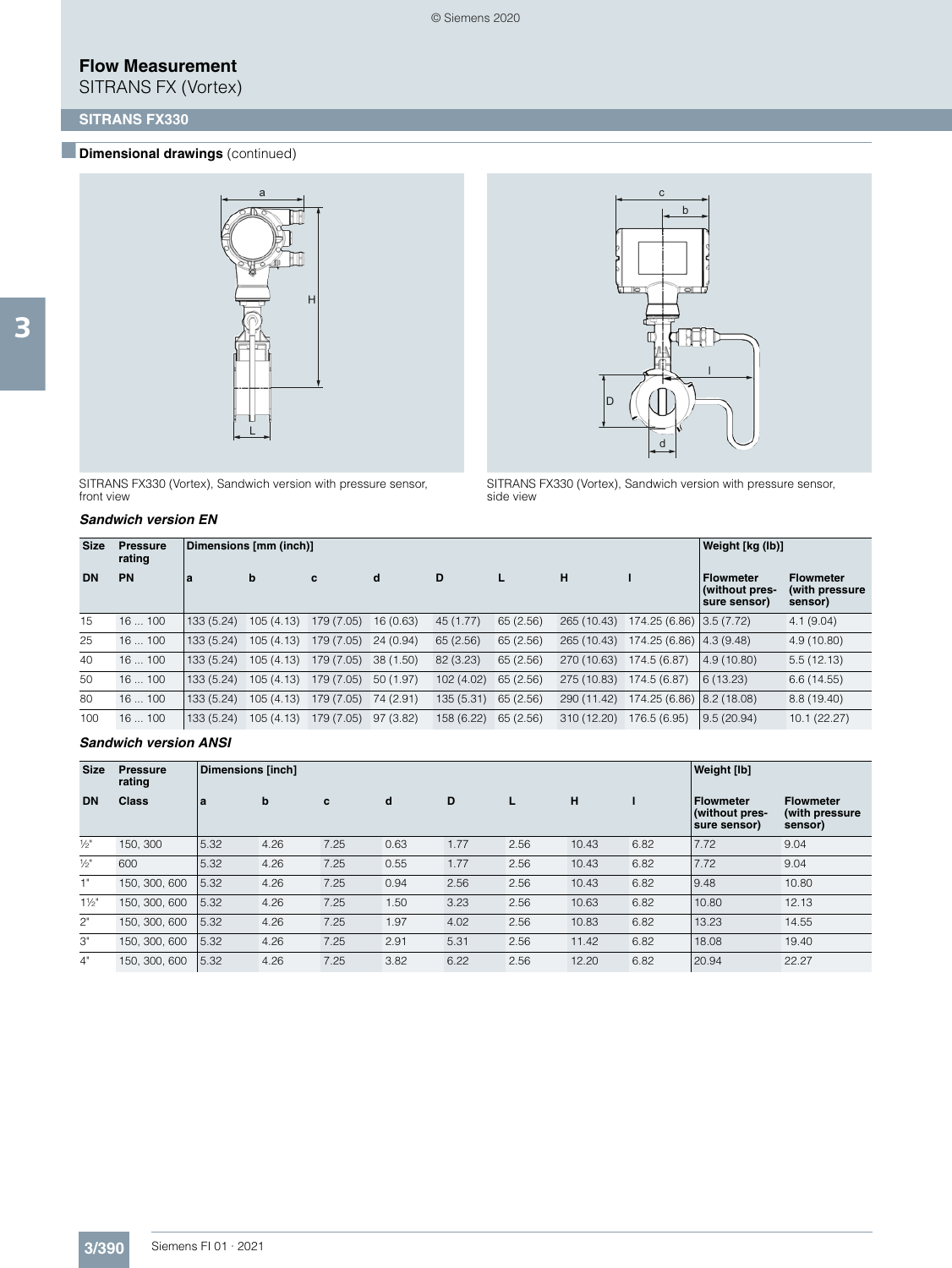SITRANS FX (Vortex)



SITRANS FX330 (Vortex), Sandwich version with pressure sensor, front view

#### *Sandwich version EN*



SITRANS FX330 (Vortex), Sandwich version with pressure sensor, side view

| <b>Size</b> | <b>Pressure</b><br>rating |           | Dimensions [mm (inch)] |            |           |            |           |             |                             | Weight [kg (lb)]                                   |                                               |
|-------------|---------------------------|-----------|------------------------|------------|-----------|------------|-----------|-------------|-----------------------------|----------------------------------------------------|-----------------------------------------------|
| <b>DN</b>   | PN                        | a         | b                      | c          | d         | D          |           | н           |                             | <b>Flowmeter</b><br>(without pres-<br>sure sensor) | <b>Flowmeter</b><br>(with pressure<br>sensor) |
| 15          | 16100                     | 133(5.24) | 105(4.13)              | 179 (7.05) | 16(0.63)  | 45 (1.77)  | 65(2.56)  | 265 (10.43) | 174.25 (6.86) 3.5 (7.72)    |                                                    | 4.1(9.04)                                     |
| 25          | 16100                     | 133(5.24) | 105(4.13)              | 179 (7.05) | 24(0.94)  | 65(2.56)   | 65(2.56)  | 265 (10.43) | 174.25 (6.86) 4.3 (9.48)    |                                                    | 4.9(10.80)                                    |
| 40          | 16100                     | 133(5.24) | 105(4.13)              | 179 (7.05) | 38(1.50)  | 82 (3.23)  | 65(2.56)  | 270 (10.63) | 174.5 (6.87)                | 4.9(10.80)                                         | 5.5(12.13)                                    |
| 50          | 16100                     | 133(5.24) | 105(4.13)              | 179 (7.05) | 50(1.97)  | 102(4.02)  | 65(2.56)  | 275 (10.83) | 174.5 (6.87)                | 6(13.23)                                           | 6.6(14.55)                                    |
| 80          | 16100                     | 133(5.24) | 105(4.13)              | 179 (7.05) | 74 (2.91) | 135(5.31)  | 65(2.56)  | 290 (11.42) | 174.25 (6.86)   8.2 (18.08) |                                                    | 8.8(19.40)                                    |
| 100         | 16100                     | 133(5.24) | 105(4.13)              | 179 (7.05) | 97(3.82)  | 158 (6.22) | 65 (2.56) | 310 (12.20) | 176.5 (6.95)                | 9.5(20.94)                                         | 10.1(22.27)                                   |

#### *Sandwich version ANSI*

| <b>Size</b>     | <b>Pressure</b><br>rating | Dimensions [inch] |      |      |      | Weight [lb] |      |       |      |                                                    |                                                |
|-----------------|---------------------------|-------------------|------|------|------|-------------|------|-------|------|----------------------------------------------------|------------------------------------------------|
| <b>DN</b>       | <b>Class</b>              | la                | b    | c    | d    | D           |      | н     |      | <b>Flowmeter</b><br>(without pres-<br>sure sensor) | <b>Flowmeter</b><br>(with pressure)<br>sensor) |
| $\frac{1}{2}$ " | 150, 300                  | 5.32              | 4.26 | 7.25 | 0.63 | 1.77        | 2.56 | 10.43 | 6.82 | 7.72                                               | 9.04                                           |
| $\frac{1}{2}$ " | 600                       | 5.32              | 4.26 | 7.25 | 0.55 | 1.77        | 2.56 | 10.43 | 6.82 | 7.72                                               | 9.04                                           |
| 1"              | 150, 300, 600             | 5.32              | 4.26 | 7.25 | 0.94 | 2.56        | 2.56 | 10.43 | 6.82 | 9.48                                               | 10.80                                          |
| $1\frac{1}{2}$  | 150, 300, 600             | 5.32              | 4.26 | 7.25 | 1.50 | 3.23        | 2.56 | 10.63 | 6.82 | 10.80                                              | 12.13                                          |
| 2"              | 150, 300, 600             | 5.32              | 4.26 | 7.25 | 1.97 | 4.02        | 2.56 | 10.83 | 6.82 | 13.23                                              | 14.55                                          |
| З"              | 150, 300, 600             | 5.32              | 4.26 | 7.25 | 2.91 | 5.31        | 2.56 | 11.42 | 6.82 | 18.08                                              | 19.40                                          |
| 4"              | 150, 300, 600             | 5.32              | 4.26 | 7.25 | 3.82 | 6.22        | 2.56 | 12.20 | 6.82 | 20.94                                              | 22.27                                          |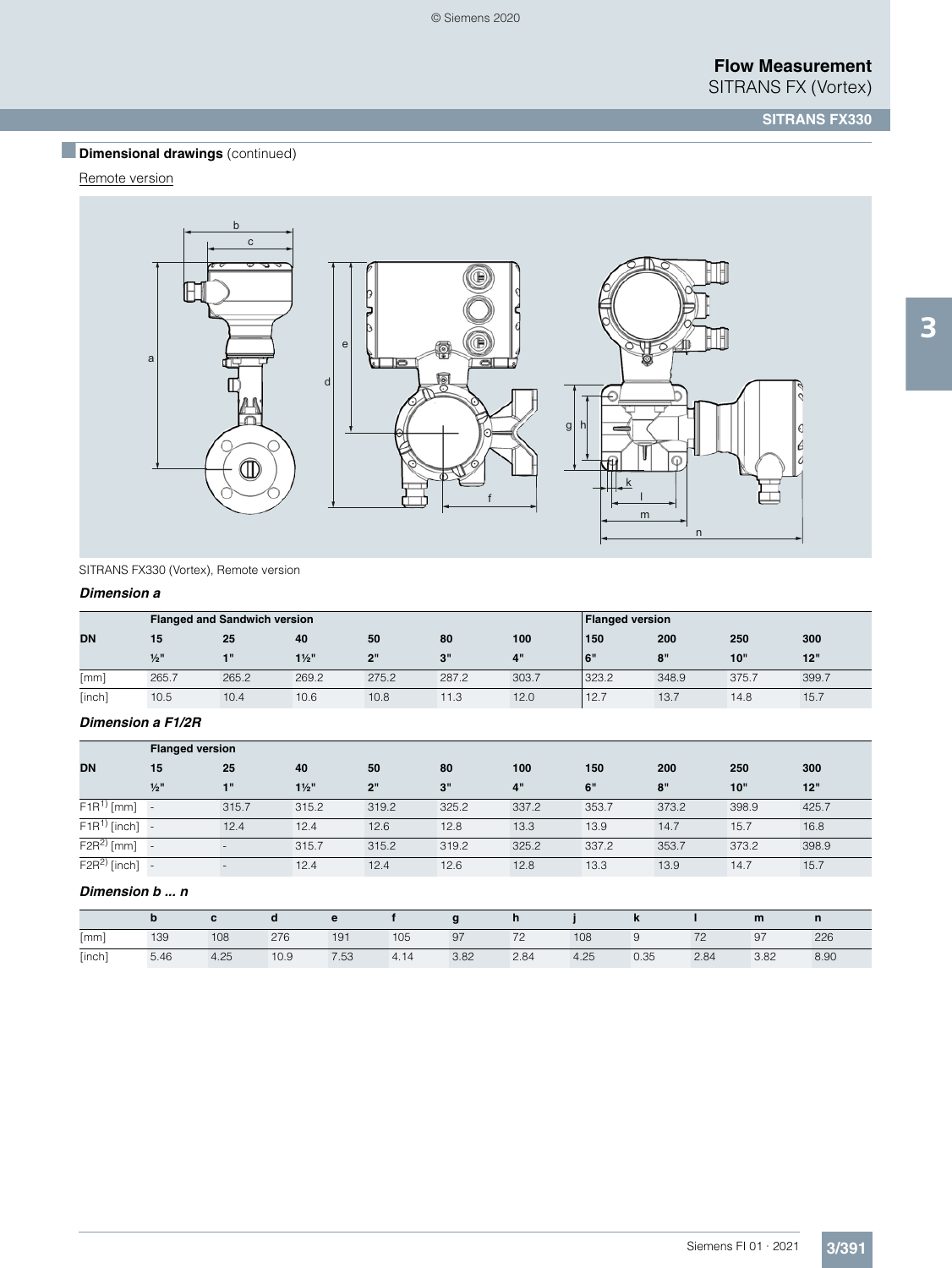# **Dimensional drawings** (continued)

### Remote version



SITRANS FX330 (Vortex), Remote version

#### *Dimension a*

|           |         | <b>Flanged and Sandwich version</b> |                  |       |       |           | <b>Flanged version</b> |       |       |       |
|-----------|---------|-------------------------------------|------------------|-------|-------|-----------|------------------------|-------|-------|-------|
| <b>DN</b> | 15      | 25                                  | 40               | 50    | 80    | 100       | 150                    | 200   | 250   | 300   |
|           | $1/2$ " | $-111$                              | $1\frac{1}{2}$ " | ייפ   | 3"    | <b>4"</b> | 6"                     | 8"    | 10"   | 12"   |
| [mm]      | 265.7   | 265.2                               | 269.2            | 275.2 | 287.2 | 303.7     | 323.2                  | 348.9 | 375.7 | 399.7 |
| [inch]    | 10.5    | 10.4                                | 10.6             | 10.8  | 11.3  | 12.0      | 12.7                   | 13.7  | 14.8  | 15.7  |

#### *Dimension a F1/2R*

|                   | <b>Flanged version</b> |       |                  |       |       |       |       |       |       |       |
|-------------------|------------------------|-------|------------------|-------|-------|-------|-------|-------|-------|-------|
| <b>DN</b>         | 15                     | 25    | 40               | 50    | 80    | 100   | 150   | 200   | 250   | 300   |
|                   | $1/2$ "                | 1"    | $1\frac{1}{2}$ " | 2"    | 3"    | 4"    | 6"    | 8"    | 10"   | 12"   |
| $F1R^{1)}$ [mm]   |                        | 315.7 | 315.2            | 319.2 | 325.2 | 337.2 | 353.7 | 373.2 | 398.9 | 425.7 |
| $F1R^{1)}$ [inch] |                        | 12.4  | 12.4             | 12.6  | 12.8  | 13.3  | 13.9  | 14.7  | 15.7  | 16.8  |
| $F2R^2$ [mm]      |                        |       | 315.7            | 315.2 | 319.2 | 325.2 | 337.2 | 353.7 | 373.2 | 398.9 |
| $F2R^{2)}$ [inch] |                        |       | 12.4             | 12.4  | 12.6  | 12.8  | 13.3  | 13.9  | 14.7  | 15.7  |

### *Dimension b ... n*

|        |      |      |      |      |      |      | n    |      | n    |      | m    |      |
|--------|------|------|------|------|------|------|------|------|------|------|------|------|
| [mm]   | 139  | 108  | 276  | 191  | 105  | 97   | 72   | 108  | 9    | 70   | 97   | 226  |
| [inch] | 5.46 | 4.25 | 10.9 | 7.53 | 4.14 | 3.82 | 2.84 | 4.25 | 0.35 | 2.84 | 3.82 | 8.90 |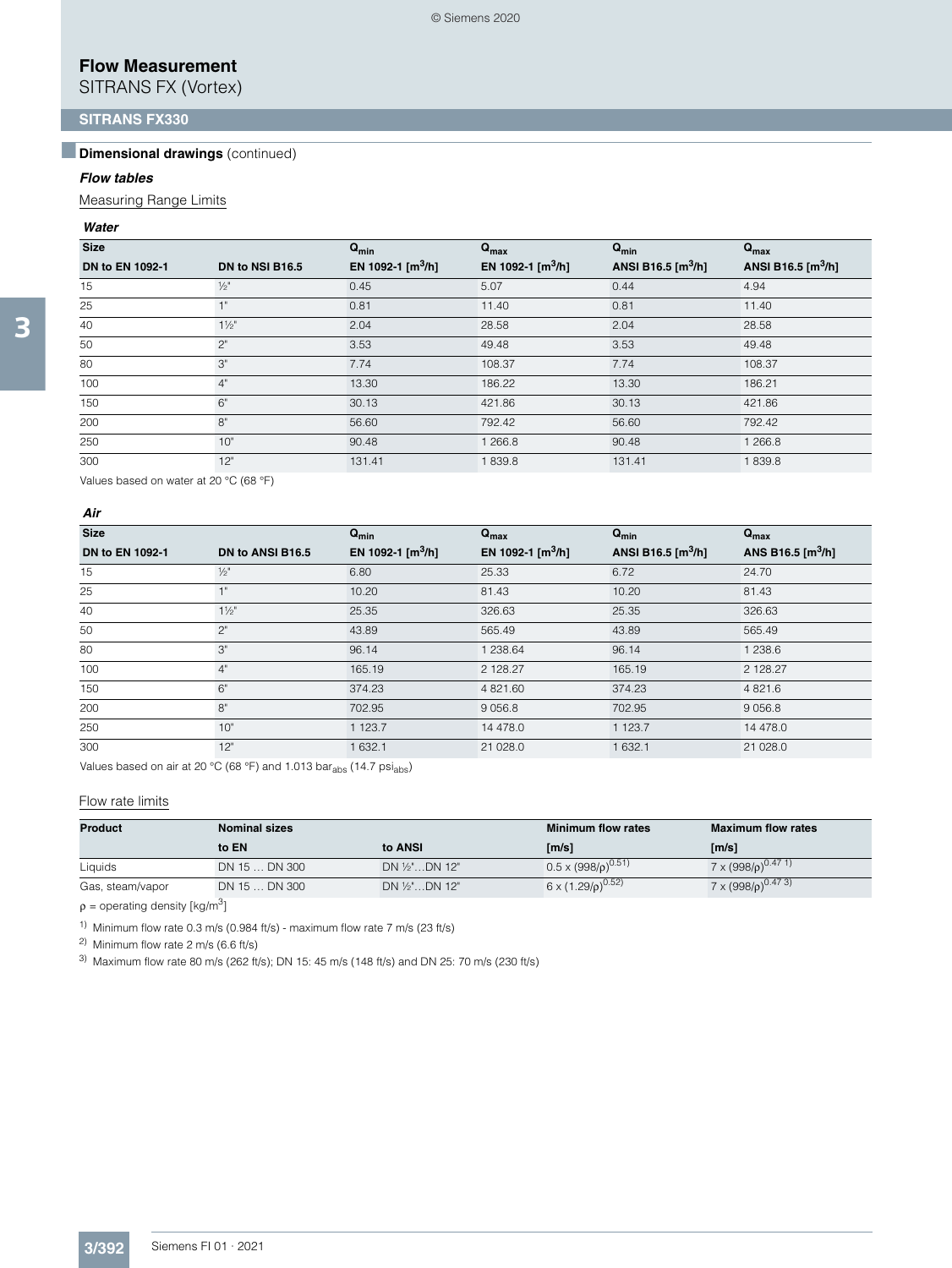SITRANS FX (Vortex)

### **SITRANS FX330**

### **Dimensional drawings** (continued)

#### *Flow tables*

Measuring Range Limits

#### *Water*

| <b>Size</b>     |                 | $Q_{min}$                     | $Q_{max}$           | $Q_{min}$                | $Q_{max}$           |
|-----------------|-----------------|-------------------------------|---------------------|--------------------------|---------------------|
| DN to EN 1092-1 | DN to NSI B16.5 | EN 1092-1 [m <sup>3</sup> /h] | EN 1092-1 $[m^3/h]$ | ANSI B16.5 $\rm [m^3/h]$ | ANSI B16.5 $[m3/h]$ |
| 15              | $\frac{1}{2}$   | 0.45                          | 5.07                | 0.44                     | 4.94                |
| 25              | <b>HI</b>       | 0.81                          | 11.40               | 0.81                     | 11.40               |
| 40              | $1\frac{1}{2}$  | 2.04                          | 28.58               | 2.04                     | 28.58               |
| 50              | $2^{\circ}$     | 3.53                          | 49.48               | 3.53                     | 49.48               |
| 80              | 3"              | 7.74                          | 108.37              | 7.74                     | 108.37              |
| 100             | 4"              | 13.30                         | 186.22              | 13.30                    | 186.21              |
| 150             | 6"              | 30.13                         | 421.86              | 30.13                    | 421.86              |
| 200             | 8"              | 56.60                         | 792.42              | 56.60                    | 792.42              |
| 250             | 10"             | 90.48                         | 1 266.8             | 90.48                    | 1 266.8             |
| 300             | 12"             | 131.41                        | 1839.8              | 131.41                   | 1839.8              |

Values based on water at 20 °C (68 °F)

#### *Air*

| <b>Size</b>     |                  | $Q_{min}$                        | $Q_{\text{max}}$              | $Q_{\text{min}}$    | $Q_{\text{max}}$    |
|-----------------|------------------|----------------------------------|-------------------------------|---------------------|---------------------|
| DN to EN 1092-1 | DN to ANSI B16.5 | EN 1092-1 $\text{[m}^3/\text{h}$ | EN 1092-1 [m <sup>3</sup> /h] | ANSI B16.5 $[m3/h]$ | ANS B16.5 $[m^3/h]$ |
| 15              | $\frac{1}{2}$    | 6.80                             | 25.33                         | 6.72                | 24.70               |
| 25              | 1"               | 10.20                            | 81.43                         | 10.20               | 81.43               |
| 40              | $1\frac{1}{2}$   | 25.35                            | 326.63                        | 25.35               | 326.63              |
| 50              | $2^{\circ}$      | 43.89                            | 565.49                        | 43.89               | 565.49              |
| 80              | 3"               | 96.14                            | 1 238.64                      | 96.14               | 1 238.6             |
| 100             | 4"               | 165.19                           | 2 128.27                      | 165.19              | 2 128.27            |
| 150             | 6"               | 374.23                           | 4 821.60                      | 374.23              | 4 8 2 1 . 6         |
| 200             | 8"               | 702.95                           | 9 0 5 6.8                     | 702.95              | 9 0 5 6.8           |
| 250             | 10"              | 1 123.7                          | 14 478.0                      | 1 123.7             | 14 478.0            |
| 300             | 12"              | 1 632.1                          | 21 028.0                      | 1 632.1             | 21 0 28.0           |

Values based on air at 20 °C (68 °F) and 1.013 bar<sub>abs</sub> (14.7 psi<sub>abs</sub>)

#### Flow rate limits

| <b>Product</b>   | <b>Nominal sizes</b> |                    | <b>Minimum flow rates</b>      | <b>Maximum flow rates</b>                  |
|------------------|----------------------|--------------------|--------------------------------|--------------------------------------------|
|                  | to EN                | to ANSI            | [m/s]                          | [m/s]                                      |
| Liquids          | DN 15  DN 300        | $DN 1/2"$ $DN 12"$ | $0.5 \times (998/\rho)^{0.51}$ | $7 \times (998/\rho)^{0.47}$ <sup>1)</sup> |
| Gas, steam/vapor | DN 15  DN 300        | DN 1/2"DN 12"      | 6 x $(1.29/p)^{0.52}$          | $7 \times (998/\rho)^{0.473}$              |

 $ρ =$  operating density [kg/m<sup>3</sup>]

<sup>1)</sup> Minimum flow rate 0.3 m/s (0.984 ft/s) - maximum flow rate 7 m/s (23 ft/s)

2) Minimum flow rate 2 m/s (6.6 ft/s)

3) Maximum flow rate 80 m/s (262 ft/s); DN 15: 45 m/s (148 ft/s) and DN 25: 70 m/s (230 ft/s)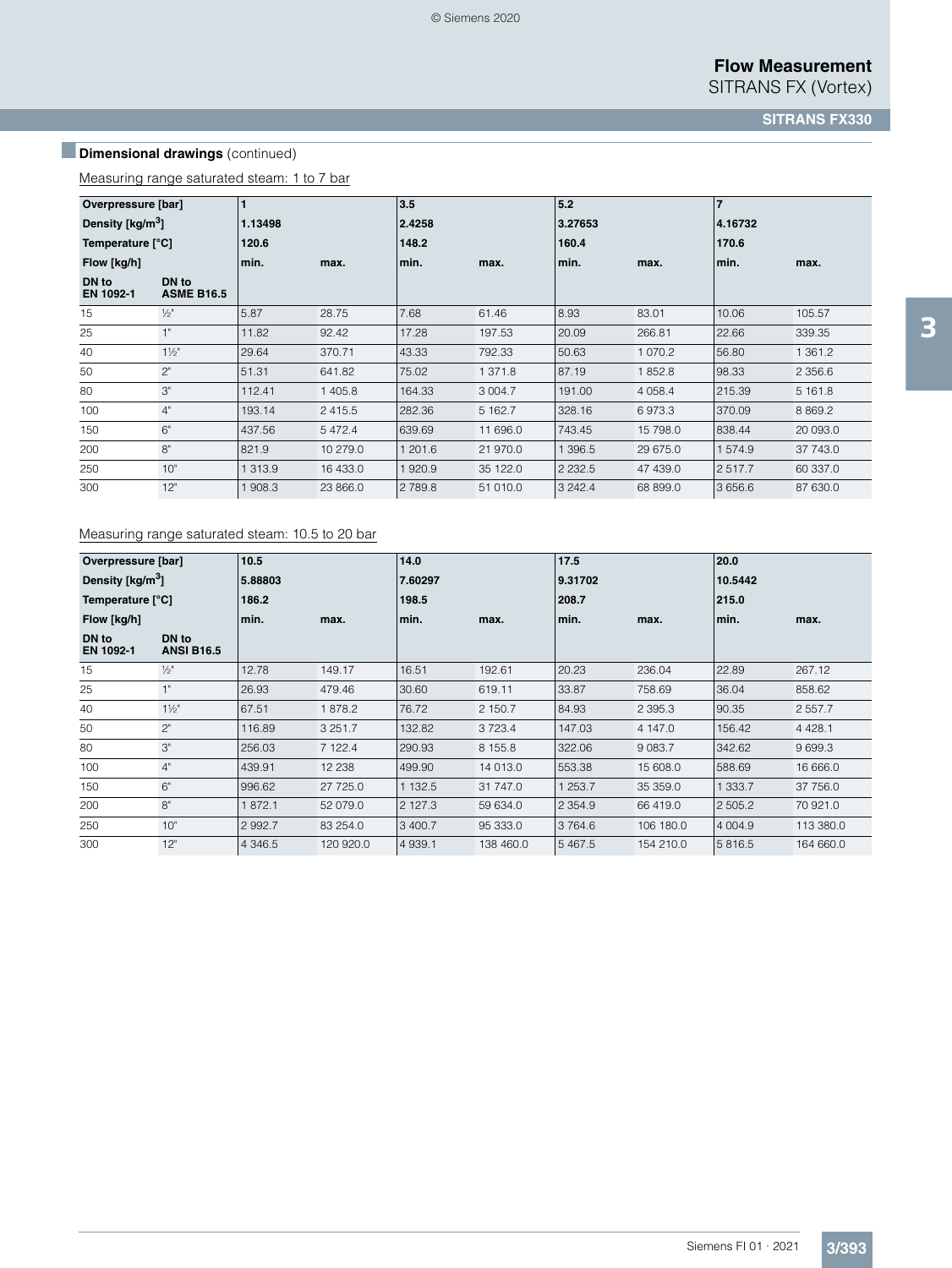# **Dimensional drawings** (continued)

Measuring range saturated steam: 1 to 7 bar

| Overpressure [bar]                    |                            |         |            | 3.5     |             | 5.2        |          | 7       |             |
|---------------------------------------|----------------------------|---------|------------|---------|-------------|------------|----------|---------|-------------|
| Density $\left[\frac{kg}{m^3}\right]$ |                            | 1.13498 |            | 2.4258  |             | 3.27653    |          | 4.16732 |             |
| Temperature [°C]                      |                            | 120.6   |            | 148.2   |             | 160.4      |          | 170.6   |             |
| Flow [kg/h]                           |                            | min.    | max.       | min.    | max.        | min.       | max.     | min.    | max.        |
| DN to<br>EN 1092-1                    | DN to<br><b>ASME B16.5</b> |         |            |         |             |            |          |         |             |
| 15                                    | $\frac{1}{2}$ "            | 5.87    | 28.75      | 7.68    | 61.46       | 8.93       | 83.01    | 10.06   | 105.57      |
| 25                                    | 1"                         | 11.82   | 92.42      | 17.28   | 197.53      | 20.09      | 266.81   | 22.66   | 339.35      |
| 40                                    | $1\frac{1}{2}$             | 29.64   | 370.71     | 43.33   | 792.33      | 50.63      | 1070.2   | 56.80   | 1 3 6 1 . 2 |
| 50                                    | 2"                         | 51.31   | 641.82     | 75.02   | 1 371.8     | 87.19      | 1852.8   | 98.33   | 2 3 5 6.6   |
| 80                                    | 3"                         | 112.41  | 1 405.8    | 164.33  | 3 0 0 4 . 7 | 191.00     | 4 0 58.4 | 215.39  | 5 161.8     |
| 100                                   | 4"                         | 193.14  | 2 4 1 5 .5 | 282.36  | 5 162.7     | 328.16     | 6973.3   | 370.09  | 8 8 6 9.2   |
| 150                                   | 6"                         | 437.56  | 5 4 7 2.4  | 639.69  | 11 696.0    | 743.45     | 15 798.0 | 838.44  | 20 093.0    |
| 200                                   | 8"                         | 821.9   | 10 279.0   | 1 201.6 | 21 970.0    | 1 396.5    | 29 675.0 | 1574.9  | 37 743.0    |
| 250                                   | 10"                        | 313.9   | 16 433.0   | 920.9   | 35 122.0    | 2 2 3 2 .5 | 47 439.0 | 2517.7  | 60 337.0    |
| 300                                   | 12"                        | 908.3   | 23 866.0   | 2789.8  | 51 010.0    | 3 242.4    | 68 899.0 | 3 656.6 | 87 630.0    |

#### Measuring range saturated steam: 10.5 to 20 bar

| Overpressure [bar]                    |                            | 10.5      |             | 14.0      |             | 17.5        |             | 20.0       |             |
|---------------------------------------|----------------------------|-----------|-------------|-----------|-------------|-------------|-------------|------------|-------------|
| Density $\left[\frac{kg}{m^3}\right]$ |                            | 5.88803   |             | 7.60297   |             | 9.31702     |             | 10.5442    |             |
| Temperature [°C]                      |                            | 186.2     |             | 198.5     |             | 208.7       |             | 215.0      |             |
| Flow [kg/h]                           |                            | min.      | max.        | min.      | max.        | min.        | max.        | min.       | max.        |
| DN to<br>EN 1092-1                    | DN to<br><b>ANSI B16.5</b> |           |             |           |             |             |             |            |             |
| 15                                    | $\frac{1}{2}$ "            | 12.78     | 149.17      | 16.51     | 192.61      | 20.23       | 236.04      | 22.89      | 267.12      |
| 25                                    | 1"                         | 26.93     | 479.46      | 30.60     | 619.11      | 33.87       | 758.69      | 36.04      | 858.62      |
| 40                                    | $1\frac{1}{2}$             | 67.51     | 1878.2      | 76.72     | 2 150.7     | 84.93       | 2 3 9 5 . 3 | 90.35      | 2 5 5 7 . 7 |
| 50                                    | 2"                         | 116.89    | 3 2 5 1 . 7 | 132.82    | 3 7 2 3 . 4 | 147.03      | 4 147.0     | 156.42     | 4 4 28.1    |
| 80                                    | 3"                         | 256.03    | 7 122.4     | 290.93    | 8 155.8     | 322.06      | 9 0 8 3.7   | 342.62     | 9 6 9 9.3   |
| 100                                   | 4"                         | 439.91    | 12 2 38     | 499.90    | 14 013.0    | 553.38      | 15 608.0    | 588.69     | 16 666.0    |
| 150                                   | 6"                         | 996.62    | 27 725.0    | 1 132.5   | 31 747.0    | 1 253.7     | 35 359.0    | 1 333.7    | 37 756.0    |
| 200                                   | 8"                         | 1872.1    | 52 079.0    | 2 127.3   | 59 634.0    | 2 3 5 4 . 9 | 66 419.0    | 2505.2     | 70 921.0    |
| 250                                   | 10"                        | 2 9 9 2.7 | 83 254.0    | 3 400.7   | 95 333.0    | 3764.6      | 106 180.0   | 4 0 0 4 .9 | 113 380.0   |
| 300                                   | 12"                        | 4 3 4 6.5 | 120 920.0   | 4 9 3 9.1 | 138 460.0   | 5 4 6 7 .5  | 154 210.0   | 5816.5     | 164 660.0   |